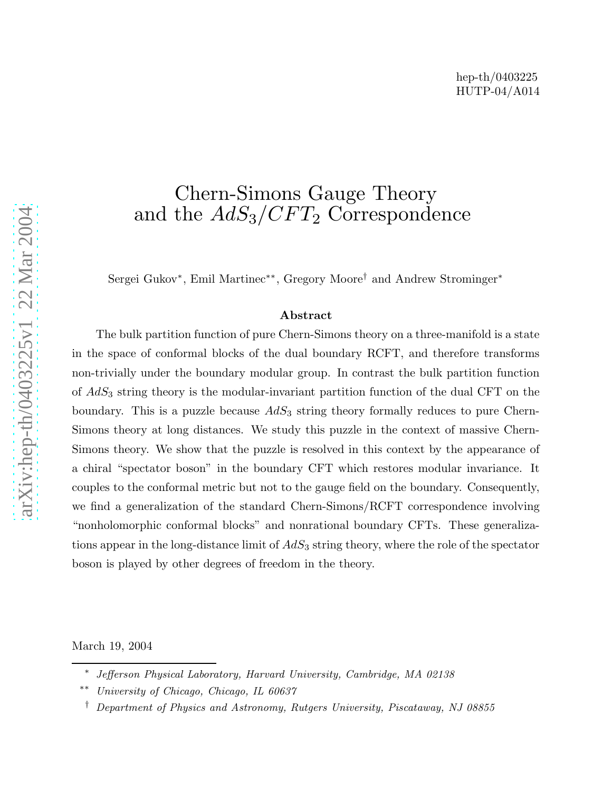# Chern-Simons Gauge Theory and the  $AdS_3/CFT_2$  Correspondence

Sergei Gukov<sup>∗</sup>, Emil Martinec<sup>∗∗</sup>, Gregory Moore<sup>†</sup> and Andrew Strominger<sup>∗</sup>

## Abstract

The bulk partition function of pure Chern-Simons theory on a three-manifold is a state in the space of conformal blocks of the dual boundary RCFT, and therefore transforms non-trivially under the boundary modular group. In contrast the bulk partition function of AdS <sup>3</sup> string theory is the modular-invariant partition function of the dual CFT on the boundary. This is a puzzle because  $AdS_3$  string theory formally reduces to pure Chern-Simons theory at long distances. We study this puzzle in the context of massive Chern-Simons theory. We show that the puzzle is resolved in this context by the appearance of a chiral "spectator boson" in the boundary CFT which restores modular invariance. It couples to the conformal metric but not to the gauge field on the boundary. Consequently, we find a generalization of the standard Chern-Simons/RCFT correspondence involving "nonholomorphic conformal blocks" and nonrational boundary CFTs. These generalizations appear in the long-distance limit of  $AdS_3$  string theory, where the role of the spectator boson is played by other degrees of freedom in the theory.

March 19, 2004

Jefferson Physical Laboratory, Harvard University, Cambridge, MA 02138

University of Chicago, Chicago, IL 60637

<sup>†</sup> Department of Physics and Astronomy, Rutgers University, Piscataway, NJ 08855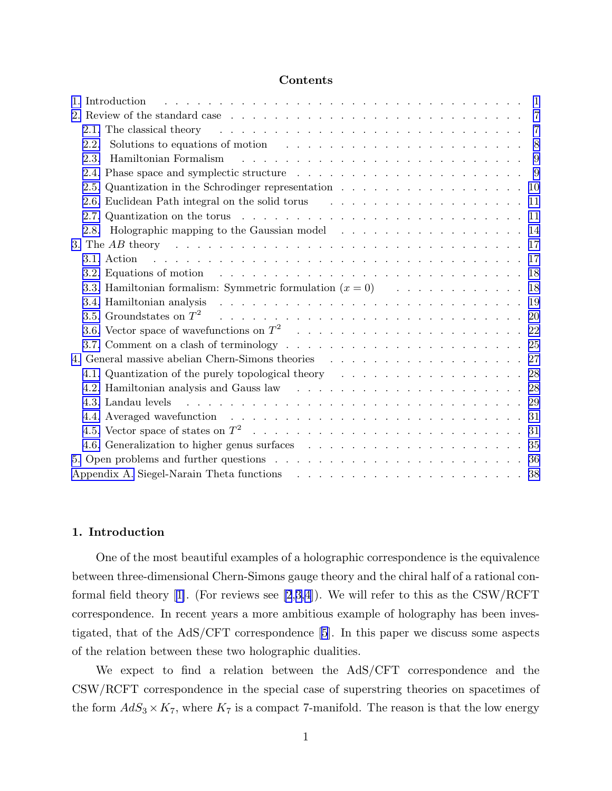#### Contents

| 2.1. The classical theory entering theory is a contracted by the contracted by the contracted by the contracted by the contracted by the contracted by the contracted by the contracted by the contracted by the contracted by | -7 |
|--------------------------------------------------------------------------------------------------------------------------------------------------------------------------------------------------------------------------------|----|
| Solutions to equations of motion $\ldots \ldots \ldots \ldots \ldots \ldots \ldots$<br>2.2.                                                                                                                                    |    |
| 2.3.                                                                                                                                                                                                                           |    |
|                                                                                                                                                                                                                                |    |
|                                                                                                                                                                                                                                |    |
|                                                                                                                                                                                                                                |    |
|                                                                                                                                                                                                                                |    |
| 2.8. Holographic mapping to the Gaussian model 14                                                                                                                                                                              |    |
|                                                                                                                                                                                                                                |    |
|                                                                                                                                                                                                                                |    |
| 3.2. Equations of motion $\ldots \ldots \ldots \ldots \ldots \ldots \ldots \ldots \ldots \ldots \ldots$                                                                                                                        |    |
| 3.3. Hamiltonian formalism: Symmetric formulation $(x = 0)$ 18                                                                                                                                                                 |    |
|                                                                                                                                                                                                                                |    |
| 3.5. Groundstates on $T^2$ and the subset of the subset of the subset of the subset of the subset of the subset of the subset of the subset of the subset of the subset of the subset of the subset of the subset of the subs  |    |
|                                                                                                                                                                                                                                |    |
|                                                                                                                                                                                                                                |    |
|                                                                                                                                                                                                                                |    |
| 4.1. Quantization of the purely topological theory enterstance extended as a set of the purely topological theory enterstance extended as a set of $28$                                                                        |    |
| 4.2. Hamiltonian analysis and Gauss law resources and service and service and service and service and service and service and service and service and service and service and service and service and service and service and  |    |
|                                                                                                                                                                                                                                |    |
|                                                                                                                                                                                                                                |    |
|                                                                                                                                                                                                                                |    |
|                                                                                                                                                                                                                                |    |
|                                                                                                                                                                                                                                |    |
|                                                                                                                                                                                                                                |    |

#### 1. Introduction

One of the most beautiful examples of a holographic correspondence is the equivalence between three-dimensional Chern-Simons gauge theory and the chiral half of a rational con-formalfield theory [[1\]](#page-40-0). (For reviews see [\[2](#page-40-0),[3,4](#page-40-0)]). We will refer to this as the CSW/RCFT correspondence. In recent years a more ambitious example of holography has been investigated, that of the AdS/CFT correspondence [\[5](#page-40-0)]. In this paper we discuss some aspects of the relation between these two holographic dualities.

We expect to find a relation between the AdS/CFT correspondence and the CSW/RCFT correspondence in the special case of superstring theories on spacetimes of the form  $AdS_3 \times K_7$ , where  $K_7$  is a compact 7-manifold. The reason is that the low energy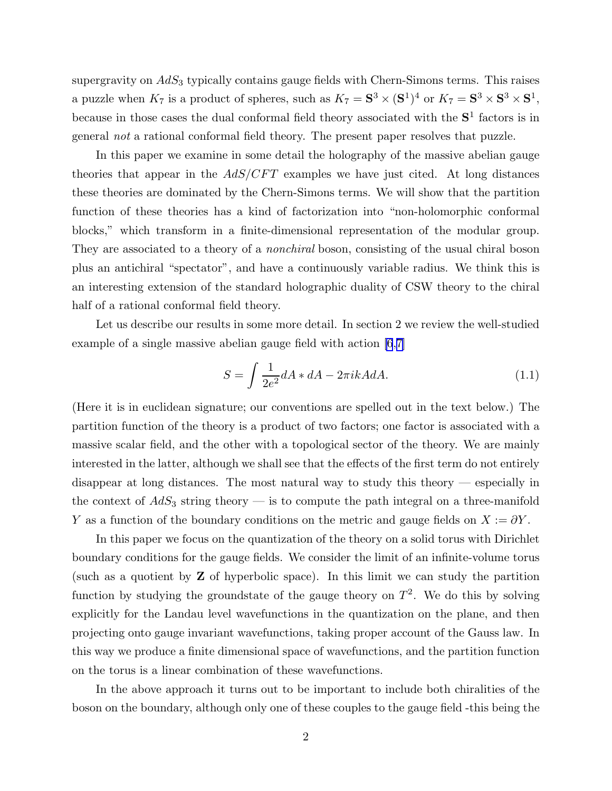<span id="page-2-0"></span>supergravity on  $AdS<sub>3</sub>$  typically contains gauge fields with Chern-Simons terms. This raises a puzzle when  $K_7$  is a product of spheres, such as  $K_7 = S^3 \times (S^1)^4$  or  $K_7 = S^3 \times S^3 \times S^1$ , because in those cases the dual conformal field theory associated with the  $S<sup>1</sup>$  factors is in general *not* a rational conformal field theory. The present paper resolves that puzzle.

In this paper we examine in some detail the holography of the massive abelian gauge theories that appear in the  $AdS/CFT$  examples we have just cited. At long distances these theories are dominated by the Chern-Simons terms. We will show that the partition function of these theories has a kind of factorization into "non-holomorphic conformal blocks," which transform in a finite-dimensional representation of the modular group. They are associated to a theory of a *nonchiral* boson, consisting of the usual chiral boson plus an antichiral "spectator", and have a continuously variable radius. We think this is an interesting extension of the standard holographic duality of CSW theory to the chiral half of a rational conformal field theory.

Let us describe our results in some more detail. In section 2 we review the well-studied example of a single massive abelian gauge field with action [\[6](#page-40-0),[7\]](#page-40-0)

$$
S = \int \frac{1}{2e^2} dA * dA - 2\pi ikA dA.
$$
 (1.1)

(Here it is in euclidean signature; our conventions are spelled out in the text below.) The partition function of the theory is a product of two factors; one factor is associated with a massive scalar field, and the other with a topological sector of the theory. We are mainly interested in the latter, although we shall see that the effects of the first term do not entirely disappear at long distances. The most natural way to study this theory — especially in the context of  $AdS_3$  string theory — is to compute the path integral on a three-manifold Y as a function of the boundary conditions on the metric and gauge fields on  $X := \partial Y$ .

In this paper we focus on the quantization of the theory on a solid torus with Dirichlet boundary conditions for the gauge fields. We consider the limit of an infinite-volume torus (such as a quotient by Z of hyperbolic space). In this limit we can study the partition function by studying the groundstate of the gauge theory on  $T^2$ . We do this by solving explicitly for the Landau level wavefunctions in the quantization on the plane, and then projecting onto gauge invariant wavefunctions, taking proper account of the Gauss law. In this way we produce a finite dimensional space of wavefunctions, and the partition function on the torus is a linear combination of these wavefunctions.

In the above approach it turns out to be important to include both chiralities of the boson on the boundary, although only one of these couples to the gauge field -this being the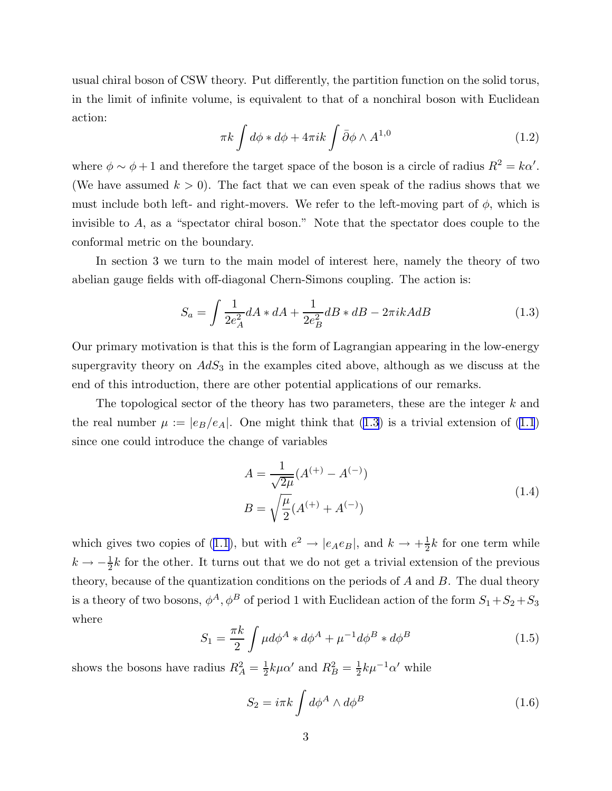<span id="page-3-0"></span>usual chiral boson of CSW theory. Put differently, the partition function on the solid torus, in the limit of infinite volume, is equivalent to that of a nonchiral boson with Euclidean action:

$$
\pi k \int d\phi * d\phi + 4\pi i k \int \bar{\partial}\phi \wedge A^{1,0} \tag{1.2}
$$

where  $\phi \sim \phi + 1$  and therefore the target space of the boson is a circle of radius  $R^2 = k\alpha'$ . (We have assumed  $k > 0$ ). The fact that we can even speak of the radius shows that we must include both left- and right-movers. We refer to the left-moving part of  $\phi$ , which is invisible to A, as a "spectator chiral boson." Note that the spectator does couple to the conformal metric on the boundary.

In section 3 we turn to the main model of interest here, namely the theory of two abelian gauge fields with off-diagonal Chern-Simons coupling. The action is:

$$
S_a = \int \frac{1}{2e_A^2} dA * dA + \frac{1}{2e_B^2} dB * dB - 2\pi ikA dB \tag{1.3}
$$

Our primary motivation is that this is the form of Lagrangian appearing in the low-energy supergravity theory on  $AdS_3$  in the examples cited above, although as we discuss at the end of this introduction, there are other potential applications of our remarks.

The topological sector of the theory has two parameters, these are the integer k and the real number  $\mu := |e_B/e_A|$ . One might think that (1.3) is a trivial extension of [\(1.1](#page-2-0)) since one could introduce the change of variables

$$
A = \frac{1}{\sqrt{2\mu}} (A^{(+)} - A^{(-)})
$$
  
\n
$$
B = \sqrt{\frac{\mu}{2}} (A^{(+)} + A^{(-)})
$$
\n(1.4)

whichgives two copies of ([1.1](#page-2-0)), but with  $e^2 \rightarrow |e_A e_B|$ , and  $k \rightarrow +\frac{1}{2}$  $\frac{1}{2}k$  for one term while  $k \to -\frac{1}{2}k$  for the other. It turns out that we do not get a trivial extension of the previous theory, because of the quantization conditions on the periods of  $A$  and  $B$ . The dual theory is a theory of two bosons,  $\phi^A$ ,  $\phi^B$  of period 1 with Euclidean action of the form  $S_1 + S_2 + S_3$ where

$$
S_1 = \frac{\pi k}{2} \int \mu d\phi^A * d\phi^A + \mu^{-1} d\phi^B * d\phi^B \qquad (1.5)
$$

shows the bosons have radius  $R_A^2 = \frac{1}{2}$  $\frac{1}{2}k\mu\alpha'$  and  $R_B^2 = \frac{1}{2}$  $\frac{1}{2}k\mu^{-1}\alpha'$  while

$$
S_2 = i\pi k \int d\phi^A \wedge d\phi^B
$$
 (1.6)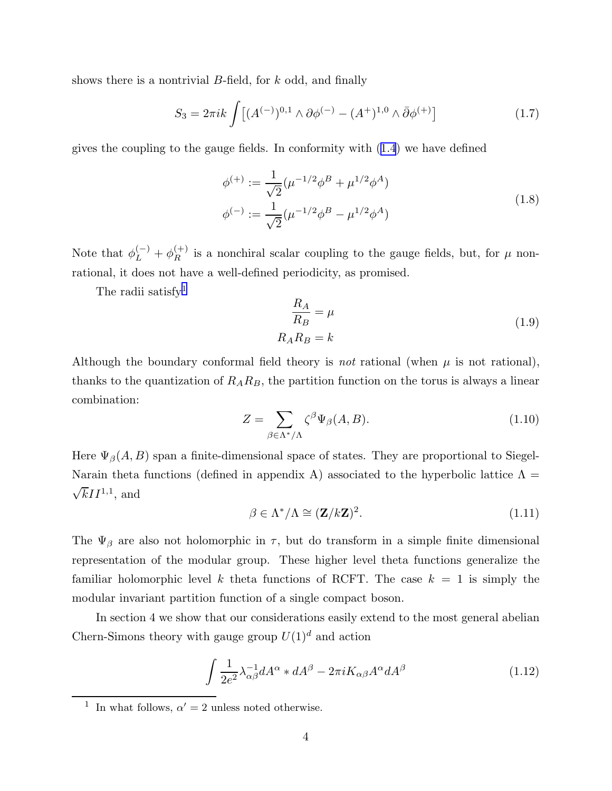<span id="page-4-0"></span>shows there is a nontrivial  $B$ -field, for  $k$  odd, and finally

$$
S_3 = 2\pi i k \int \left[ (A^{(-)})^{0,1} \wedge \partial \phi^{(-)} - (A^+)^{1,0} \wedge \bar{\partial} \phi^{(+)} \right] \tag{1.7}
$$

gives the coupling to the gauge fields. In conformity with [\(1.4](#page-3-0)) we have defined

$$
\phi^{(+)} := \frac{1}{\sqrt{2}} (\mu^{-1/2} \phi^B + \mu^{1/2} \phi^A)
$$
  

$$
\phi^{(-)} := \frac{1}{\sqrt{2}} (\mu^{-1/2} \phi^B - \mu^{1/2} \phi^A)
$$
 (1.8)

Note that  $\phi_L^{(-)} + \phi_R^{(+)}$  is a nonchiral scalar coupling to the gauge fields, but, for  $\mu$  nonrational, it does not have a well-defined periodicity, as promised.

The radii satisfy<sup>1</sup>

$$
\frac{R_A}{R_B} = \mu
$$
  

$$
R_A R_B = k
$$
 (1.9)

Although the boundary conformal field theory is *not* rational (when  $\mu$  is not rational), thanks to the quantization of  $R_A R_B$ , the partition function on the torus is always a linear combination:

$$
Z = \sum_{\beta \in \Lambda^* / \Lambda} \zeta^{\beta} \Psi_{\beta}(A, B). \tag{1.10}
$$

Here  $\Psi_{\beta}(A, B)$  span a finite-dimensional space of states. They are proportional to Siegel-Narain theta functions (defined in appendix A) associated to the hyperbolic lattice  $\Lambda =$  $\sqrt{k}II^{1,1}$ , and

$$
\beta \in \Lambda^* / \Lambda \cong (\mathbf{Z}/k\mathbf{Z})^2. \tag{1.11}
$$

The  $\Psi_{\beta}$  are also not holomorphic in  $\tau$ , but do transform in a simple finite dimensional representation of the modular group. These higher level theta functions generalize the familiar holomorphic level k theta functions of RCFT. The case  $k = 1$  is simply the modular invariant partition function of a single compact boson.

In section 4 we show that our considerations easily extend to the most general abelian Chern-Simons theory with gauge group  $U(1)^d$  and action

$$
\int \frac{1}{2e^2} \lambda_{\alpha\beta}^{-1} dA^{\alpha} * dA^{\beta} - 2\pi i K_{\alpha\beta} A^{\alpha} dA^{\beta}
$$
 (1.12)

<sup>1</sup> In what follows,  $\alpha' = 2$  unless noted otherwise.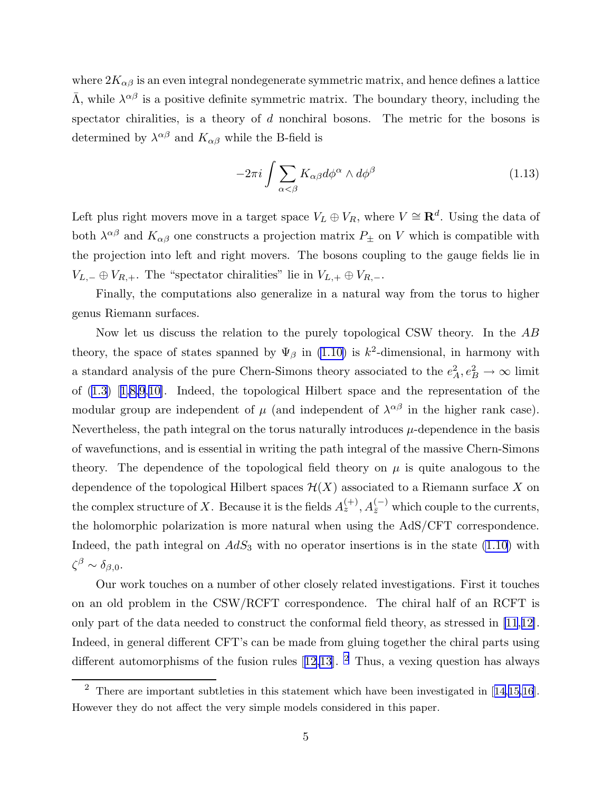where  $2K_{\alpha\beta}$  is an even integral nondegenerate symmetric matrix, and hence defines a lattice  $\bar{\Lambda}$ , while  $\lambda^{\alpha\beta}$  is a positive definite symmetric matrix. The boundary theory, including the spectator chiralities, is a theory of d nonchiral bosons. The metric for the bosons is determined by  $\lambda^{\alpha\beta}$  and  $K_{\alpha\beta}$  while the B-field is

$$
-2\pi i \int \sum_{\alpha < \beta} K_{\alpha\beta} d\phi^{\alpha} \wedge d\phi^{\beta} \tag{1.13}
$$

Left plus right movers move in a target space  $V_L \oplus V_R$ , where  $V \cong \mathbf{R}^d$ . Using the data of both  $\lambda^{\alpha\beta}$  and  $K_{\alpha\beta}$  one constructs a projection matrix  $P_{\pm}$  on V which is compatible with the projection into left and right movers. The bosons coupling to the gauge fields lie in  $V_{L,-}$  ⊕  $V_{R,+}$ . The "spectator chiralities" lie in  $V_{L,+}$  ⊕  $V_{R,-}$ .

Finally, the computations also generalize in a natural way from the torus to higher genus Riemann surfaces.

Now let us discuss the relation to the purely topological CSW theory. In the AB theory, the space of states spanned by  $\Psi_{\beta}$  in [\(1.10\)](#page-4-0) is  $k^2$ -dimensional, in harmony with a standard analysis of the pure Chern-Simons theory associated to the  $e_A^2, e_B^2 \to \infty$  limit of([1.3](#page-3-0))[[1,8,9](#page-40-0),[10\]](#page-40-0). Indeed, the topological Hilbert space and the representation of the modular group are independent of  $\mu$  (and independent of  $\lambda^{\alpha\beta}$  in the higher rank case). Nevertheless, the path integral on the torus naturally introduces  $\mu$ -dependence in the basis of wavefunctions, and is essential in writing the path integral of the massive Chern-Simons theory. The dependence of the topological field theory on  $\mu$  is quite analogous to the dependence of the topological Hilbert spaces  $\mathcal{H}(X)$  associated to a Riemann surface X on the complex structure of X. Because it is the fields  $A_z^{(+)}$ ,  $A_{\bar{z}}^{(-)}$  which couple to the currents, the holomorphic polarization is more natural when using the AdS/CFT correspondence. Indeed, the path integral on  $AdS_3$  with no operator insertions is in the state [\(1.10\)](#page-4-0) with  $\zeta^{\beta} \sim \delta_{\beta,0}.$ 

Our work touches on a number of other closely related investigations. First it touches on an old problem in the CSW/RCFT correspondence. The chiral half of an RCFT is only part of the data needed to construct the conformal field theory, as stressed in [\[11](#page-40-0),[12\]](#page-40-0). Indeed, in general different CFT's can be made from gluing together the chiral parts using differentautomorphisms of the fusion rules  $[12,13]$  $[12,13]$  $[12,13]$ . <sup>2</sup> Thus, a vexing question has always

 $2$ There are important subtleties in this statement which have been investigated in [[14,15,16\]](#page-40-0). However they do not affect the very simple models considered in this paper.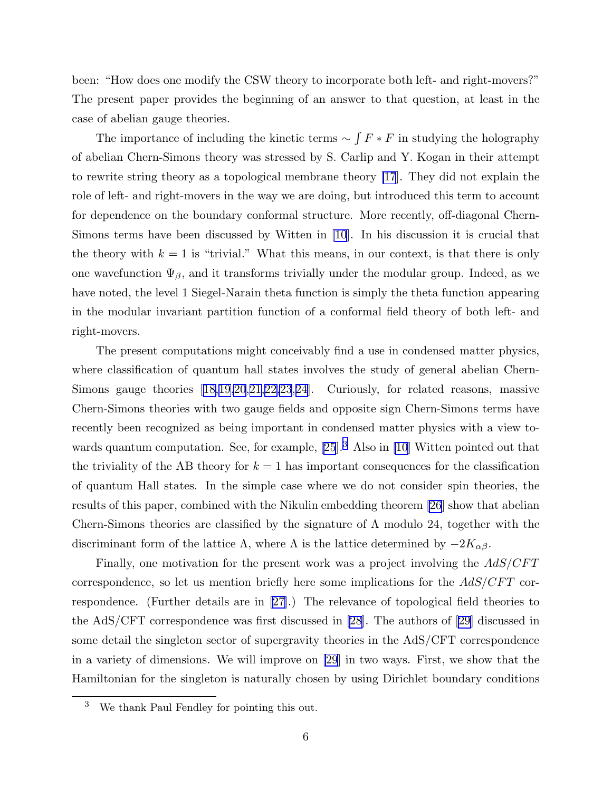been: "How does one modify the CSW theory to incorporate both left- and right-movers?" The present paper provides the beginning of an answer to that question, at least in the case of abelian gauge theories.

The importance of including the kinetic terms  $\sim \int F * F$  in studying the holography of abelian Chern-Simons theory was stressed by S. Carlip and Y. Kogan in their attempt to rewrite string theory as a topological membrane theory [\[17](#page-40-0)]. They did not explain the role of left- and right-movers in the way we are doing, but introduced this term to account for dependence on the boundary conformal structure. More recently, off-diagonal Chern-Simons terms have been discussed by Witten in [\[10](#page-40-0)]. In his discussion it is crucial that the theory with  $k = 1$  is "trivial." What this means, in our context, is that there is only one wavefunction  $\Psi_{\beta}$ , and it transforms trivially under the modular group. Indeed, as we have noted, the level 1 Siegel-Narain theta function is simply the theta function appearing in the modular invariant partition function of a conformal field theory of both left- and right-movers.

The present computations might conceivably find a use in condensed matter physics, where classification of quantum hall states involves the study of general abelian Chern-Simons gauge theories[[18,19,20](#page-41-0),[21,22,23](#page-41-0),[24\]](#page-41-0). Curiously, for related reasons, massive Chern-Simons theories with two gauge fields and opposite sign Chern-Simons terms have recently been recognized as being important in condensed matter physics with a view to-wards quantum computation. See, for example, [\[25](#page-41-0)]<sup>3</sup> Also in [\[10](#page-40-0)] Witten pointed out that the triviality of the AB theory for  $k = 1$  has important consequences for the classification of quantum Hall states. In the simple case where we do not consider spin theories, the results of this paper, combined with the Nikulin embedding theorem [\[26](#page-41-0)] show that abelian Chern-Simons theories are classified by the signature of  $\Lambda$  modulo 24, together with the discriminant form of the lattice  $\Lambda$ , where  $\Lambda$  is the lattice determined by  $-2K_{\alpha\beta}$ .

Finally, one motivation for the present work was a project involving the  $AdS/CFT$ correspondence, so let us mention briefly here some implications for the  $AdS/CFT$  correspondence. (Further details are in[[27\]](#page-41-0).) The relevance of topological field theories to the AdS/CFT correspondence was first discussed in [\[28](#page-41-0)]. The authors of[[29\]](#page-41-0) discussed in some detail the singleton sector of supergravity theories in the AdS/CFT correspondence in a variety of dimensions. We will improve on [\[29](#page-41-0)] in two ways. First, we show that the Hamiltonian for the singleton is naturally chosen by using Dirichlet boundary conditions

<sup>3</sup> We thank Paul Fendley for pointing this out.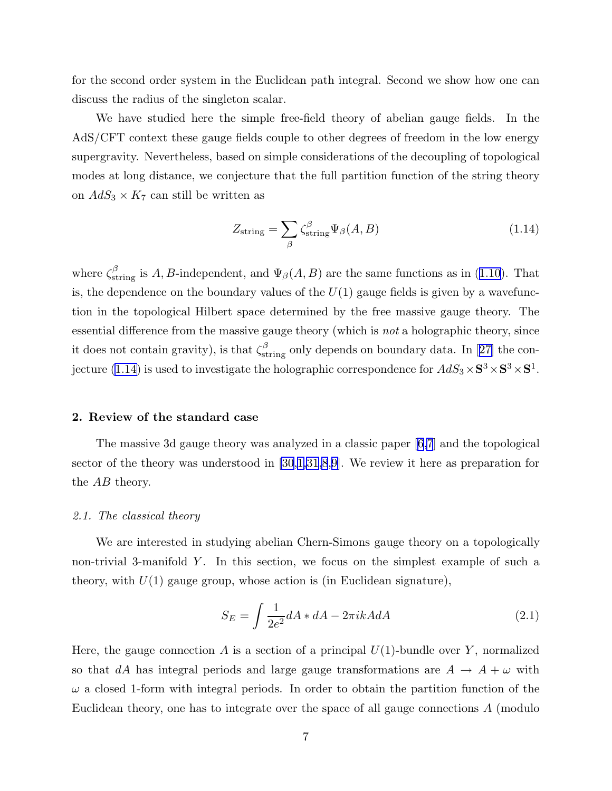<span id="page-7-0"></span>for the second order system in the Euclidean path integral. Second we show how one can discuss the radius of the singleton scalar.

We have studied here the simple free-field theory of abelian gauge fields. In the AdS/CFT context these gauge fields couple to other degrees of freedom in the low energy supergravity. Nevertheless, based on simple considerations of the decoupling of topological modes at long distance, we conjecture that the full partition function of the string theory on  $AdS_3 \times K_7$  can still be written as

$$
Z_{\rm string} = \sum_{\beta} \zeta_{\rm string}^{\beta} \Psi_{\beta}(A, B) \tag{1.14}
$$

where $\zeta_{\text{string}}^{\beta}$  is A, B-independent, and  $\Psi_{\beta}(A, B)$  are the same functions as in ([1.10](#page-4-0)). That is, the dependence on the boundary values of the  $U(1)$  gauge fields is given by a wavefunction in the topological Hilbert space determined by the free massive gauge theory. The essential difference from the massive gauge theory (which is *not* a holographic theory, since itdoes not contain gravity), is that  $\zeta_{\text{string}}^{\beta}$  only depends on boundary data. In [[27\]](#page-41-0) the conjecture (1.14) is used to investigate the holographic correspondence for  $AdS_3 \times S^3 \times S^3 \times S^1$ .

#### 2. Review of the standard case

The massive 3d gauge theory was analyzed in a classic paper [\[6,7](#page-40-0)] and the topological sector of the theory was understood in [\[30](#page-41-0),[1,](#page-40-0)[31](#page-41-0)[,8](#page-40-0),[9\]](#page-40-0). We review it here as preparation for the AB theory.

#### *2.1. The classical theory*

We are interested in studying abelian Chern-Simons gauge theory on a topologically non-trivial 3-manifold  $Y$ . In this section, we focus on the simplest example of such a theory, with  $U(1)$  gauge group, whose action is (in Euclidean signature),

$$
S_E = \int \frac{1}{2e^2} dA * dA - 2\pi ikA dA \qquad (2.1)
$$

Here, the gauge connection A is a section of a principal  $U(1)$ -bundle over Y, normalized so that dA has integral periods and large gauge transformations are  $A \rightarrow A + \omega$  with  $\omega$  a closed 1-form with integral periods. In order to obtain the partition function of the Euclidean theory, one has to integrate over the space of all gauge connections A (modulo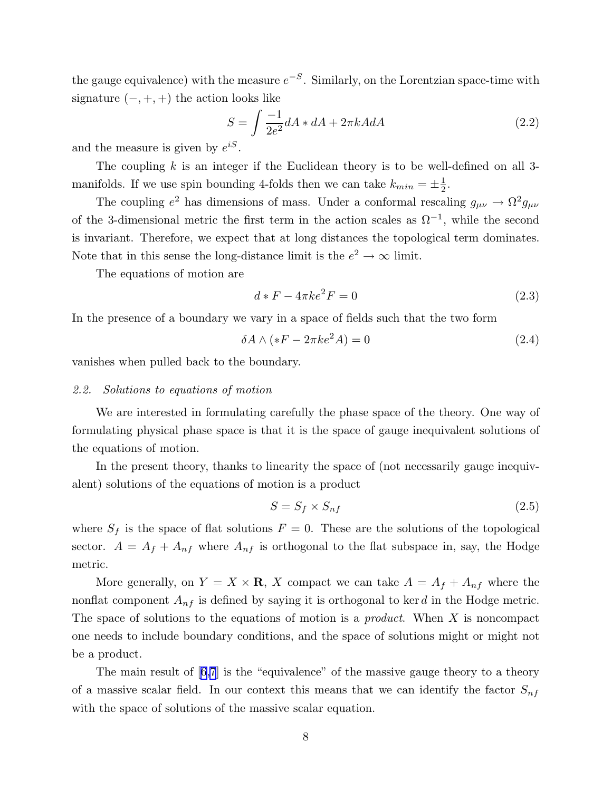<span id="page-8-0"></span>the gauge equivalence) with the measure  $e^{-S}$ . Similarly, on the Lorentzian space-time with signature  $(-, +, +)$  the action looks like

$$
S = \int \frac{-1}{2e^2} dA * dA + 2\pi k A dA \qquad (2.2)
$$

and the measure is given by  $e^{iS}$ .

The coupling  $k$  is an integer if the Euclidean theory is to be well-defined on all 3manifolds. If we use spin bounding 4-folds then we can take  $k_{min} = \pm \frac{1}{2}$  $\frac{1}{2}$ .

The coupling  $e^2$  has dimensions of mass. Under a conformal rescaling  $g_{\mu\nu} \to \Omega^2 g_{\mu\nu}$ of the 3-dimensional metric the first term in the action scales as  $\Omega^{-1}$ , while the second is invariant. Therefore, we expect that at long distances the topological term dominates. Note that in this sense the long-distance limit is the  $e^2 \to \infty$  limit.

The equations of motion are

$$
d * F - 4\pi k e^2 F = 0 \tag{2.3}
$$

In the presence of a boundary we vary in a space of fields such that the two form

$$
\delta A \wedge (*F - 2\pi ke^2 A) = 0 \tag{2.4}
$$

vanishes when pulled back to the boundary.

#### *2.2. Solutions to equations of motion*

We are interested in formulating carefully the phase space of the theory. One way of formulating physical phase space is that it is the space of gauge inequivalent solutions of the equations of motion.

In the present theory, thanks to linearity the space of (not necessarily gauge inequivalent) solutions of the equations of motion is a product

$$
S = S_f \times S_{nf} \tag{2.5}
$$

where  $S_f$  is the space of flat solutions  $F = 0$ . These are the solutions of the topological sector.  $A = A_f + A_{nf}$  where  $A_{nf}$  is orthogonal to the flat subspace in, say, the Hodge metric.

More generally, on  $Y = X \times \mathbf{R}$ , X compact we can take  $A = A_f + A_{nf}$  where the nonflat component  $A_{nf}$  is defined by saying it is orthogonal to ker d in the Hodge metric. The space of solutions to the equations of motion is a *product*. When X is noncompact one needs to include boundary conditions, and the space of solutions might or might not be a product.

The main result of[[6,7](#page-40-0)] is the "equivalence" of the massive gauge theory to a theory of a massive scalar field. In our context this means that we can identify the factor  $S_{nf}$ with the space of solutions of the massive scalar equation.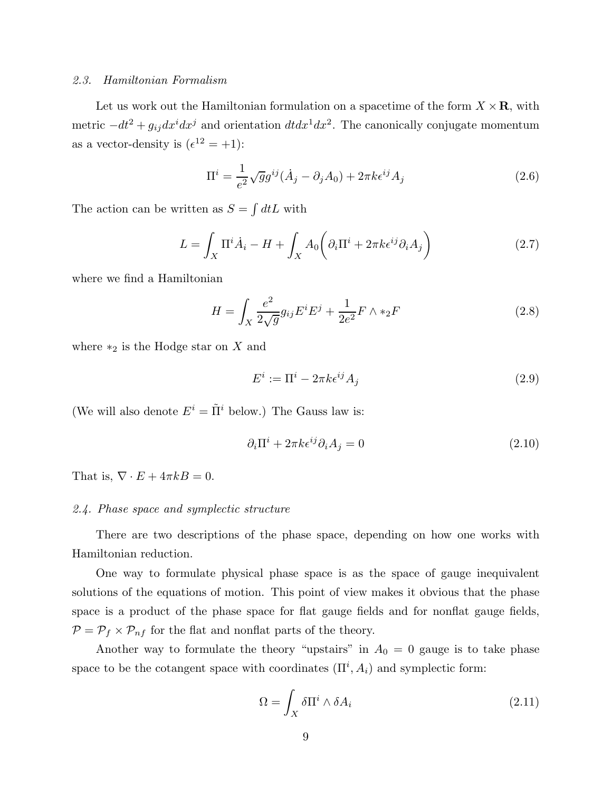#### <span id="page-9-0"></span>*2.3. Hamiltonian Formalism*

Let us work out the Hamiltonian formulation on a spacetime of the form  $X \times \mathbf{R}$ , with metric  $-dt^2 + g_{ij}dx^idx^j$  and orientation  $dtdx^1dx^2$ . The canonically conjugate momentum as a vector-density is  $(\epsilon^{12} = +1)$ :

$$
\Pi^i = \frac{1}{e^2} \sqrt{g} g^{ij} (\dot{A}_j - \partial_j A_0) + 2\pi k \epsilon^{ij} A_j \tag{2.6}
$$

The action can be written as  $S = \int dt L$  with

$$
L = \int_X \Pi^i \dot{A}_i - H + \int_X A_0 \left( \partial_i \Pi^i + 2\pi k \epsilon^{ij} \partial_i A_j \right) \tag{2.7}
$$

where we find a Hamiltonian

$$
H = \int_{X} \frac{e^2}{2\sqrt{g}} g_{ij} E^i E^j + \frac{1}{2e^2} F \wedge *_2 F \tag{2.8}
$$

where  $*_2$  is the Hodge star on X and

$$
E^i := \Pi^i - 2\pi k \epsilon^{ij} A_j \tag{2.9}
$$

(We will also denote  $E^i = \tilde{\Pi}^i$  below.) The Gauss law is:

$$
\partial_i \Pi^i + 2\pi k \epsilon^{ij} \partial_i A_j = 0 \tag{2.10}
$$

That is,  $\nabla \cdot E + 4\pi kB = 0$ .

#### *2.4. Phase space and symplectic structure*

There are two descriptions of the phase space, depending on how one works with Hamiltonian reduction.

One way to formulate physical phase space is as the space of gauge inequivalent solutions of the equations of motion. This point of view makes it obvious that the phase space is a product of the phase space for flat gauge fields and for nonflat gauge fields,  $P = P_f \times P_{nf}$  for the flat and nonflat parts of the theory.

Another way to formulate the theory "upstairs" in  $A_0 = 0$  gauge is to take phase space to be the cotangent space with coordinates  $(\Pi^i, A_i)$  and symplectic form:

$$
\Omega = \int_{X} \delta \Pi^{i} \wedge \delta A_{i} \tag{2.11}
$$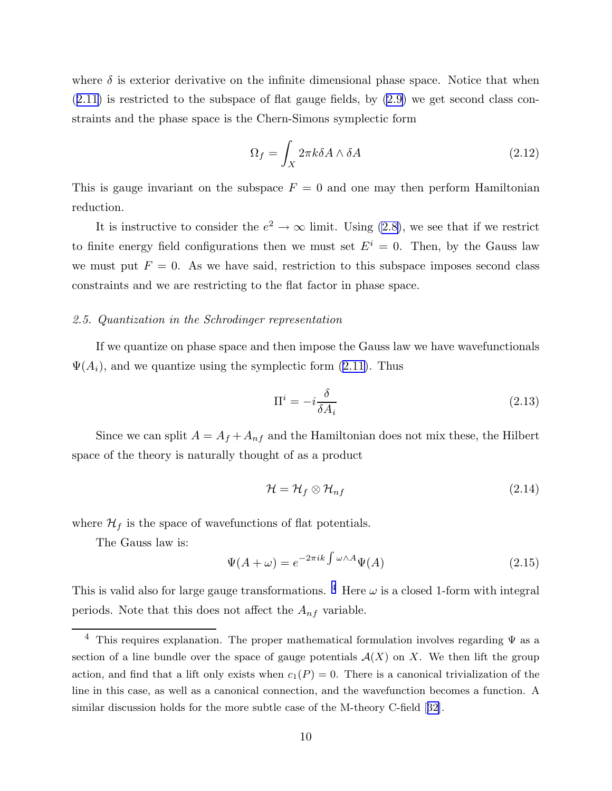<span id="page-10-0"></span>where  $\delta$  is exterior derivative on the infinite dimensional phase space. Notice that when  $(2.11)$  $(2.11)$  $(2.11)$  is restricted to the subspace of flat gauge fields, by  $(2.9)$  we get second class constraints and the phase space is the Chern-Simons symplectic form

$$
\Omega_f = \int_X 2\pi k \delta A \wedge \delta A \tag{2.12}
$$

This is gauge invariant on the subspace  $F = 0$  and one may then perform Hamiltonian reduction.

It is instructive to consider the  $e^2 \to \infty$  limit. Using [\(2.8\)](#page-9-0), we see that if we restrict to finite energy field configurations then we must set  $E<sup>i</sup> = 0$ . Then, by the Gauss law we must put  $F = 0$ . As we have said, restriction to this subspace imposes second class constraints and we are restricting to the flat factor in phase space.

#### *2.5. Quantization in the Schrodinger representation*

If we quantize on phase space and then impose the Gauss law we have wavefunctionals  $\Psi(A_i)$ , and we quantize using the symplectic form [\(2.11\)](#page-9-0). Thus

$$
\Pi^i = -i\frac{\delta}{\delta A_i} \tag{2.13}
$$

Since we can split  $A = A_f + A_{nf}$  and the Hamiltonian does not mix these, the Hilbert space of the theory is naturally thought of as a product

$$
\mathcal{H} = \mathcal{H}_f \otimes \mathcal{H}_{nf} \tag{2.14}
$$

where  $\mathcal{H}_f$  is the space of wavefunctions of flat potentials.

The Gauss law is:

$$
\Psi(A + \omega) = e^{-2\pi i k \int \omega \wedge A} \Psi(A) \tag{2.15}
$$

This is valid also for large gauge transformations. <sup>4</sup> Here  $\omega$  is a closed 1-form with integral periods. Note that this does not affect the  $A_{nf}$  variable.

<sup>&</sup>lt;sup>4</sup> This requires explanation. The proper mathematical formulation involves regarding  $\Psi$  as a section of a line bundle over the space of gauge potentials  $\mathcal{A}(X)$  on X. We then lift the group action, and find that a lift only exists when  $c_1(P) = 0$ . There is a canonical trivialization of the line in this case, as well as a canonical connection, and the wavefunction becomes a function. A similar discussion holds for the more subtle case of the M-theory C-field[[32\]](#page-41-0).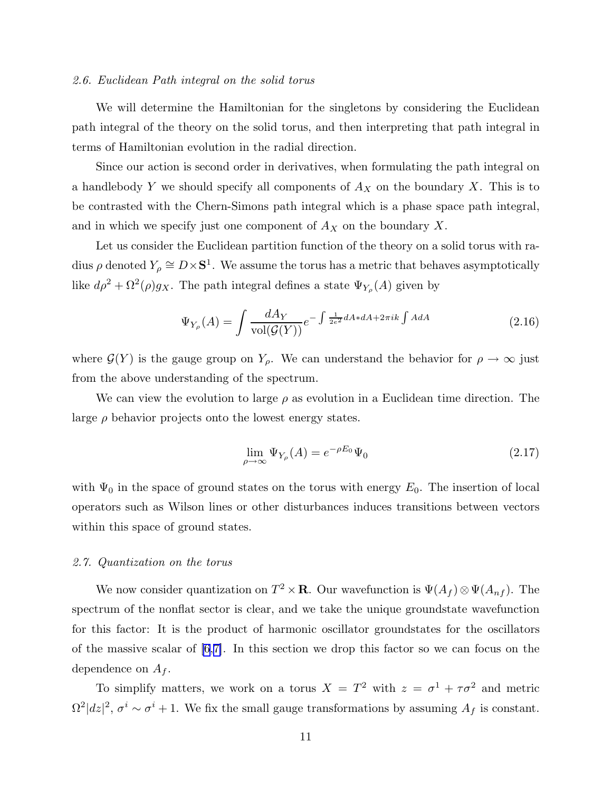#### <span id="page-11-0"></span>*2.6. Euclidean Path integral on the solid torus*

We will determine the Hamiltonian for the singletons by considering the Euclidean path integral of the theory on the solid torus, and then interpreting that path integral in terms of Hamiltonian evolution in the radial direction.

Since our action is second order in derivatives, when formulating the path integral on a handlebody Y we should specify all components of  $A_X$  on the boundary X. This is to be contrasted with the Chern-Simons path integral which is a phase space path integral, and in which we specify just one component of  $A<sub>X</sub>$  on the boundary X.

Let us consider the Euclidean partition function of the theory on a solid torus with radius  $\rho$  denoted  $Y_{\rho} \cong D \times S^1$ . We assume the torus has a metric that behaves asymptotically like  $d\rho^2 + \Omega^2(\rho)g_X$ . The path integral defines a state  $\Psi_{Y_\rho}(A)$  given by

$$
\Psi_{Y_{\rho}}(A) = \int \frac{dA_Y}{\text{vol}(\mathcal{G}(Y))} e^{-\int \frac{1}{2e^2} dA * dA + 2\pi i k \int A dA}
$$
\n(2.16)

where  $\mathcal{G}(Y)$  is the gauge group on  $Y_{\rho}$ . We can understand the behavior for  $\rho \to \infty$  just from the above understanding of the spectrum.

We can view the evolution to large  $\rho$  as evolution in a Euclidean time direction. The large  $\rho$  behavior projects onto the lowest energy states.

$$
\lim_{\rho \to \infty} \Psi_{Y_{\rho}}(A) = e^{-\rho E_0} \Psi_0 \tag{2.17}
$$

with  $\Psi_0$  in the space of ground states on the torus with energy  $E_0$ . The insertion of local operators such as Wilson lines or other disturbances induces transitions between vectors within this space of ground states.

#### *2.7. Quantization on the torus*

We now consider quantization on  $T^2 \times \mathbf{R}$ . Our wavefunction is  $\Psi(A_f) \otimes \Psi(A_{nf})$ . The spectrum of the nonflat sector is clear, and we take the unique groundstate wavefunction for this factor: It is the product of harmonic oscillator groundstates for the oscillators of the massive scalar of  $[6,7]$  $[6,7]$ . In this section we drop this factor so we can focus on the dependence on  $A_f$ .

To simplify matters, we work on a torus  $X = T^2$  with  $z = \sigma^1 + \tau \sigma^2$  and metric  $\Omega^2|dz|^2$ ,  $\sigma^i \sim \sigma^i + 1$ . We fix the small gauge transformations by assuming  $A_f$  is constant.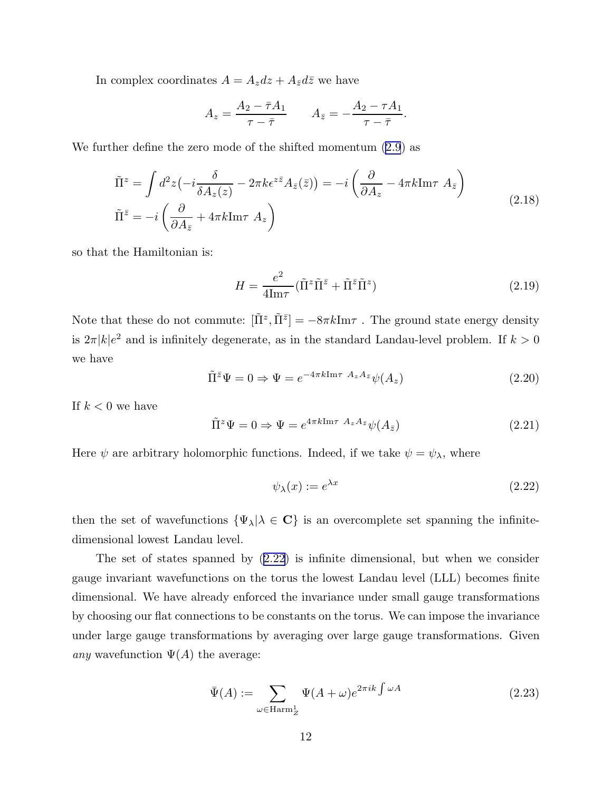<span id="page-12-0"></span>In complex coordinates  $A = A_z dz + A_{\bar{z}} d\bar{z}$  we have

$$
A_z = \frac{A_2 - \bar{\tau}A_1}{\tau - \bar{\tau}} \qquad A_{\bar{z}} = -\frac{A_2 - \tau A_1}{\tau - \bar{\tau}}.
$$

We further define the zero mode of the shifted momentum [\(2.9](#page-9-0)) as

$$
\tilde{\Pi}^{z} = \int d^{2}z \left( -i \frac{\delta}{\delta A_{z}(z)} - 2\pi k \epsilon^{z\bar{z}} A_{\bar{z}}(\bar{z}) \right) = -i \left( \frac{\partial}{\partial A_{z}} - 4\pi k \text{Im}\tau A_{\bar{z}} \right)
$$
\n
$$
\tilde{\Pi}^{\bar{z}} = -i \left( \frac{\partial}{\partial A_{\bar{z}}} + 4\pi k \text{Im}\tau A_{z} \right)
$$
\n(2.18)

so that the Hamiltonian is:

$$
H = \frac{e^2}{4\mathrm{Im}\tau} (\tilde{\Pi}^z \tilde{\Pi}^{\bar{z}} + \tilde{\Pi}^{\bar{z}} \tilde{\Pi}^z)
$$
 (2.19)

Note that these do not commute:  $[\tilde{\Pi}^z, \tilde{\Pi}^{\bar{z}}] = -8\pi k \text{Im}\tau$ . The ground state energy density is  $2\pi |k|e^2$  and is infinitely degenerate, as in the standard Landau-level problem. If  $k > 0$ we have

$$
\tilde{\Pi}^{\bar{z}}\Psi = 0 \Rightarrow \Psi = e^{-4\pi k \text{Im}\tau} A_z A_{\bar{z}} \psi(A_z)
$$
\n(2.20)

If  $k < 0$  we have

$$
\tilde{\Pi}^z \Psi = 0 \Rightarrow \Psi = e^{4\pi k \text{Im}\tau} A_z A_{\bar{z}} \psi(A_{\bar{z}})
$$
\n(2.21)

Here  $\psi$  are arbitrary holomorphic functions. Indeed, if we take  $\psi = \psi_{\lambda}$ , where

$$
\psi_{\lambda}(x) := e^{\lambda x} \tag{2.22}
$$

then the set of wavefunctions  $\{\Psi_{\lambda} | \lambda \in \mathbf{C}\}\$  is an overcomplete set spanning the infinitedimensional lowest Landau level.

The set of states spanned by (2.22) is infinite dimensional, but when we consider gauge invariant wavefunctions on the torus the lowest Landau level (LLL) becomes finite dimensional. We have already enforced the invariance under small gauge transformations by choosing our flat connections to be constants on the torus. We can impose the invariance under large gauge transformations by averaging over large gauge transformations. Given *any* wavefunction  $\Psi(A)$  the average:

$$
\bar{\Psi}(A) := \sum_{\omega \in \text{Harm}_Z^1} \Psi(A + \omega) e^{2\pi i k \int \omega A} \tag{2.23}
$$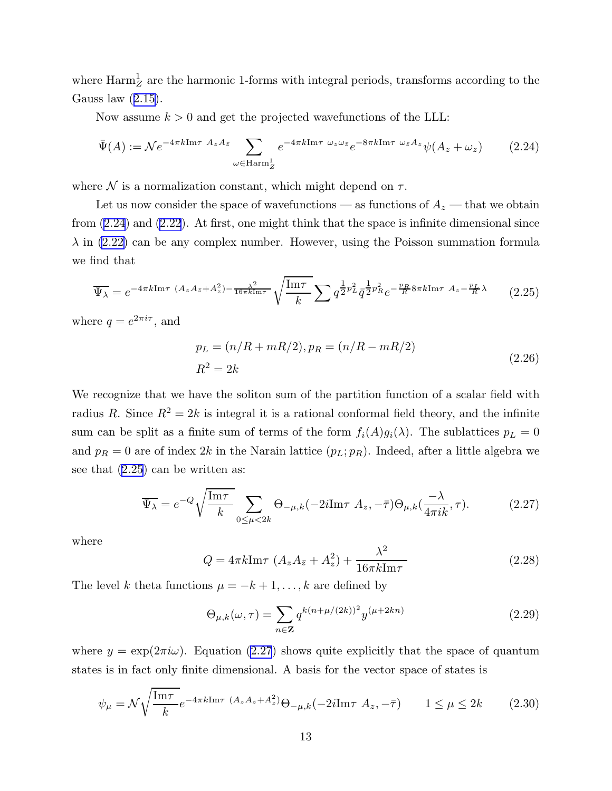<span id="page-13-0"></span>where  $\mathrm{Harm}^1_Z$  are the harmonic 1-forms with integral periods, transforms according to the Gausslaw  $(2.15)$  $(2.15)$  $(2.15)$ .

Now assume  $k > 0$  and get the projected wavefunctions of the LLL:

$$
\bar{\Psi}(A) := \mathcal{N}e^{-4\pi k \text{Im}\tau} A_z A_{\bar{z}} \sum_{\omega \in \text{Harm}_Z^1} e^{-4\pi k \text{Im}\tau \omega_z \omega_{\bar{z}}} e^{-8\pi k \text{Im}\tau \omega_{\bar{z}} A_z} \psi(A_z + \omega_z)
$$
(2.24)

where  $\mathcal N$  is a normalization constant, which might depend on  $\tau$ .

Let us now consider the space of wavefunctions — as functions of  $A_z$  — that we obtain from (2.24) and [\(2.22](#page-12-0)). At first, one might think that the space is infinite dimensional since  $\lambda$  in [\(2.22\)](#page-12-0) can be any complex number. However, using the Poisson summation formula we find that

$$
\overline{\Psi_{\lambda}} = e^{-4\pi k \text{Im}\tau} \ (A_z A_{\bar{z}} + A_z^2) - \frac{\lambda^2}{16\pi k \text{Im}\tau} \sqrt{\frac{\text{Im}\tau}{k}} \sum q^{\frac{1}{2}p_L^2} \bar{q}^{\frac{1}{2}p_R^2} e^{-\frac{p_R}{R} 8\pi k \text{Im}\tau} \ A_z - \frac{p_L}{R} \lambda \tag{2.25}
$$

where  $q = e^{2\pi i \tau}$ , and

$$
p_L = (n/R + mR/2), p_R = (n/R - mR/2)
$$
  
\n
$$
R^2 = 2k
$$
\n(2.26)

We recognize that we have the soliton sum of the partition function of a scalar field with radius R. Since  $R^2 = 2k$  is integral it is a rational conformal field theory, and the infinite sum can be split as a finite sum of terms of the form  $f_i(A)g_i(\lambda)$ . The sublattices  $p_L = 0$ and  $p_R = 0$  are of index 2k in the Narain lattice  $(p_L; p_R)$ . Indeed, after a little algebra we see that (2.25) can be written as:

$$
\overline{\Psi_{\lambda}} = e^{-Q} \sqrt{\frac{\text{Im}\tau}{k}} \sum_{0 \le \mu < 2k} \Theta_{-\mu,k} (-2i \text{Im}\tau \ A_z, -\bar{\tau}) \Theta_{\mu,k} (\frac{-\lambda}{4\pi i k}, \tau). \tag{2.27}
$$

where

$$
Q = 4\pi k \text{Im}\tau \left( A_z A_{\bar{z}} + A_z^2 \right) + \frac{\lambda^2}{16\pi k \text{Im}\tau} \tag{2.28}
$$

The level k theta functions  $\mu = -k+1, \ldots, k$  are defined by

$$
\Theta_{\mu,k}(\omega,\tau) = \sum_{n \in \mathbf{Z}} q^{k(n+\mu/(2k))^2} y^{(\mu+2kn)} \tag{2.29}
$$

where  $y = \exp(2\pi i\omega)$ . Equation (2.27) shows quite explicitly that the space of quantum states is in fact only finite dimensional. A basis for the vector space of states is

$$
\psi_{\mu} = \mathcal{N}\sqrt{\frac{\text{Im}\tau}{k}}e^{-4\pi k\text{Im}\tau} \ (A_z A_{\bar{z}} + A_z^2)\Theta_{-\mu,k}(-2i\text{Im}\tau \ A_z, -\bar{\tau}) \qquad 1 \le \mu \le 2k \tag{2.30}
$$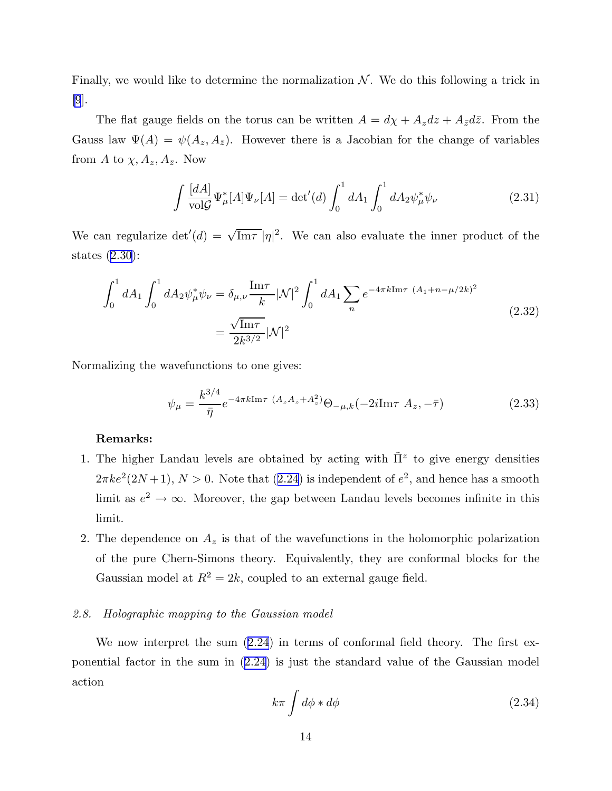<span id="page-14-0"></span>Finally, we would like to determine the normalization  $N$ . We do this following a trick in [\[9](#page-40-0)].

The flat gauge fields on the torus can be written  $A = d\chi + A_z dz + A_{\bar{z}} d\bar{z}$ . From the Gauss law  $\Psi(A) = \psi(A_z, A_{\bar{z}})$ . However there is a Jacobian for the change of variables from A to  $\chi, A_z, A_{\bar{z}}$ . Now

$$
\int \frac{[dA]}{\text{vol}\mathcal{G}} \Psi_{\mu}^{*}[A] \Psi_{\nu}[A] = \det'(d) \int_{0}^{1} dA_{1} \int_{0}^{1} dA_{2} \psi_{\mu}^{*} \psi_{\nu}
$$
\n(2.31)

We can regularize  $\det'(d) = \sqrt{\text{Im}\tau} |\eta|^2$ . We can also evaluate the inner product of the states([2.30\)](#page-13-0):

$$
\int_0^1 dA_1 \int_0^1 dA_2 \psi_{\mu}^* \psi_{\nu} = \delta_{\mu,\nu} \frac{\text{Im}\tau}{k} |\mathcal{N}|^2 \int_0^1 dA_1 \sum_n e^{-4\pi k \text{Im}\tau} (A_1 + n - \mu/2k)^2
$$
\n
$$
= \frac{\sqrt{\text{Im}\tau}}{2k^{3/2}} |\mathcal{N}|^2
$$
\n(2.32)

Normalizing the wavefunctions to one gives:

$$
\psi_{\mu} = \frac{k^{3/4}}{\bar{\eta}} e^{-4\pi k \text{Im}\tau \ (A_z A_{\bar{z}} + A_z^2)} \Theta_{-\mu,k}(-2i \text{Im}\tau \ A_z, -\bar{\tau})
$$
\n(2.33)

#### Remarks:

- 1. The higher Landau levels are obtained by acting with  $\tilde{\Pi}^z$  to give energy densities  $2\pi k e^2 (2N+1)$  $2\pi k e^2 (2N+1)$  $2\pi k e^2 (2N+1)$ ,  $N > 0$ . Note that  $(2.24)$  $(2.24)$  is independent of  $e^2$ , and hence has a smooth limit as  $e^2 \to \infty$ . Moreover, the gap between Landau levels becomes infinite in this limit.
- 2. The dependence on  $A_z$  is that of the wavefunctions in the holomorphic polarization of the pure Chern-Simons theory. Equivalently, they are conformal blocks for the Gaussian model at  $R^2 = 2k$ , coupled to an external gauge field.

## *2.8. Holographic mapping to the Gaussian model*

Wenow interpret the sum  $(2.24)$  $(2.24)$  $(2.24)$  in terms of conformal field theory. The first exponential factor in the sum in([2.24](#page-13-0)) is just the standard value of the Gaussian model action

$$
k\pi \int d\phi * d\phi \tag{2.34}
$$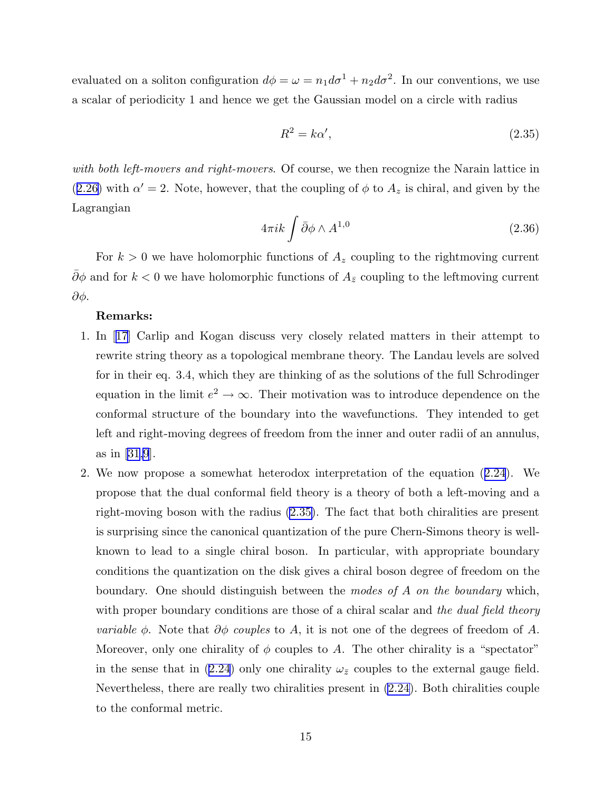<span id="page-15-0"></span>evaluated on a soliton configuration  $d\phi = \omega = n_1 d\sigma^1 + n_2 d\sigma^2$ . In our conventions, we use a scalar of periodicity 1 and hence we get the Gaussian model on a circle with radius

$$
R^2 = k\alpha',\tag{2.35}
$$

*with both left-movers and right-movers*. Of course, we then recognize the Narain lattice in  $(2.26)$  $(2.26)$  $(2.26)$  with  $\alpha' = 2$ . Note, however, that the coupling of  $\phi$  to  $A_z$  is chiral, and given by the Lagrangian

$$
4\pi ik \int \bar{\partial}\phi \wedge A^{1,0} \tag{2.36}
$$

For  $k > 0$  we have holomorphic functions of  $A<sub>z</sub>$  coupling to the rightmoving current  $\bar{\partial}\phi$  and for  $k < 0$  we have holomorphic functions of  $A_{\bar{z}}$  coupling to the leftmoving current ∂φ.

#### Remarks:

- 1. In[[17\]](#page-40-0) Carlip and Kogan discuss very closely related matters in their attempt to rewrite string theory as a topological membrane theory. The Landau levels are solved for in their eq. 3.4, which they are thinking of as the solutions of the full Schrodinger equation in the limit  $e^2 \to \infty$ . Their motivation was to introduce dependence on the conformal structure of the boundary into the wavefunctions. They intended to get left and right-moving degrees of freedom from the inner and outer radii of an annulus, as in[[31](#page-41-0)[,9](#page-40-0)].
- 2. We now propose a somewhat heterodox interpretation of the equation([2.24](#page-13-0)). We propose that the dual conformal field theory is a theory of both a left-moving and a right-moving boson with the radius (2.35). The fact that both chiralities are present is surprising since the canonical quantization of the pure Chern-Simons theory is wellknown to lead to a single chiral boson. In particular, with appropriate boundary conditions the quantization on the disk gives a chiral boson degree of freedom on the boundary. One should distinguish between the *modes of* A *on the boundary* which, with proper boundary conditions are those of a chiral scalar and *the dual field theory variable*  $\phi$ . Note that  $\partial \phi$  *couples* to A, it is not one of the degrees of freedom of A. Moreover, only one chirality of  $\phi$  couples to A. The other chirality is a "spectator" in the sense that in [\(2.24](#page-13-0)) only one chirality  $\omega_{\bar{z}}$  couples to the external gauge field. Nevertheless, there are really two chiralities present in [\(2.24\)](#page-13-0). Both chiralities couple to the conformal metric.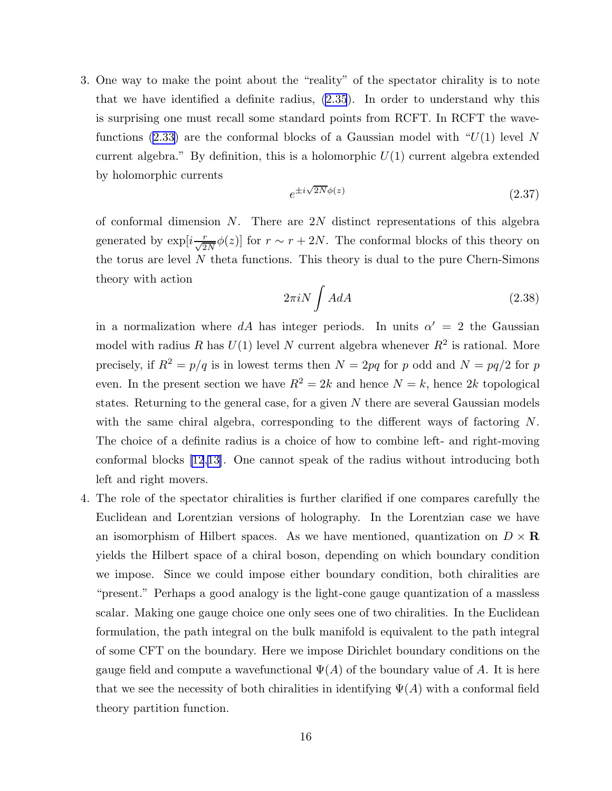<span id="page-16-0"></span>3. One way to make the point about the "reality" of the spectator chirality is to note that we have identified a definite radius, [\(2.35](#page-15-0)). In order to understand why this is surprising one must recall some standard points from RCFT. In RCFT the wave-functions [\(2.33\)](#page-14-0) are the conformal blocks of a Gaussian model with " $U(1)$  level N current algebra." By definition, this is a holomorphic  $U(1)$  current algebra extended by holomorphic currents

$$
e^{\pm i\sqrt{2N}\phi(z)}\tag{2.37}
$$

of conformal dimension N. There are  $2N$  distinct representations of this algebra generated by  $\exp[i\frac{r}{\sqrt{2N}}\phi(z)]$  for  $r \sim r + 2N$ . The conformal blocks of this theory on the torus are level  $N$  theta functions. This theory is dual to the pure Chern-Simons theory with action

$$
2\pi i N \int A dA \tag{2.38}
$$

in a normalization where dA has integer periods. In units  $\alpha' = 2$  the Gaussian model with radius R has  $U(1)$  level N current algebra whenever  $R^2$  is rational. More precisely, if  $R^2 = p/q$  is in lowest terms then  $N = 2pq$  for p odd and  $N = pq/2$  for p even. In the present section we have  $R^2 = 2k$  and hence  $N = k$ , hence 2k topological states. Returning to the general case, for a given  $N$  there are several Gaussian models with the same chiral algebra, corresponding to the different ways of factoring N. The choice of a definite radius is a choice of how to combine left- and right-moving conformal blocks [\[12](#page-40-0),[13\]](#page-40-0). One cannot speak of the radius without introducing both left and right movers.

4. The role of the spectator chiralities is further clarified if one compares carefully the Euclidean and Lorentzian versions of holography. In the Lorentzian case we have an isomorphism of Hilbert spaces. As we have mentioned, quantization on  $D \times \mathbf{R}$ yields the Hilbert space of a chiral boson, depending on which boundary condition we impose. Since we could impose either boundary condition, both chiralities are "present." Perhaps a good analogy is the light-cone gauge quantization of a massless scalar. Making one gauge choice one only sees one of two chiralities. In the Euclidean formulation, the path integral on the bulk manifold is equivalent to the path integral of some CFT on the boundary. Here we impose Dirichlet boundary conditions on the gauge field and compute a wavefunctional  $\Psi(A)$  of the boundary value of A. It is here that we see the necessity of both chiralities in identifying  $\Psi(A)$  with a conformal field theory partition function.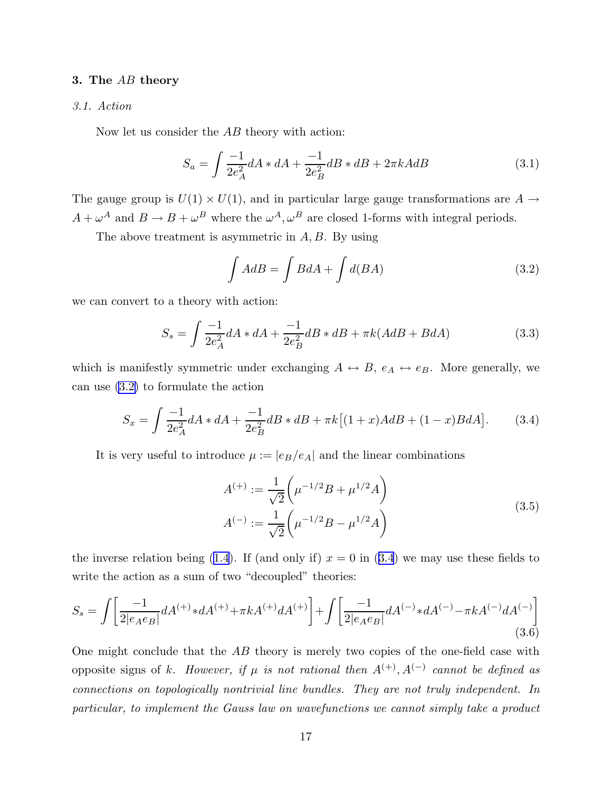#### <span id="page-17-0"></span>3. The AB theory

## *3.1. Action*

Now let us consider the AB theory with action:

$$
S_a = \int \frac{-1}{2e_A^2} dA * dA + \frac{-1}{2e_B^2} dB * dB + 2\pi k A dB \tag{3.1}
$$

The gauge group is  $U(1) \times U(1)$ , and in particular large gauge transformations are  $A \rightarrow$  $A + \omega^A$  and  $B \to B + \omega^B$  where the  $\omega^A, \omega^B$  are closed 1-forms with integral periods.

The above treatment is asymmetric in  $A, B$ . By using

$$
\int A dB = \int B dA + \int d(BA) \tag{3.2}
$$

we can convert to a theory with action:

$$
S_s = \int \frac{-1}{2e_A^2} dA * dA + \frac{-1}{2e_B^2} dB * dB + \pi k (AdB + BdA)
$$
 (3.3)

which is manifestly symmetric under exchanging  $A \leftrightarrow B$ ,  $e_A \leftrightarrow e_B$ . More generally, we can use (3.2) to formulate the action

$$
S_x = \int \frac{-1}{2e_A^2} dA * dA + \frac{-1}{2e_B^2} dB * dB + \pi k [(1+x)A dB + (1-x)B dA]. \tag{3.4}
$$

It is very useful to introduce  $\mu := |e_B/e_A|$  and the linear combinations

$$
A^{(+)} := \frac{1}{\sqrt{2}} \left( \mu^{-1/2} B + \mu^{1/2} A \right)
$$
  

$$
A^{(-)} := \frac{1}{\sqrt{2}} \left( \mu^{-1/2} B - \mu^{1/2} A \right)
$$
 (3.5)

theinverse relation being ([1.4](#page-3-0)). If (and only if)  $x = 0$  in (3.4) we may use these fields to write the action as a sum of two "decoupled" theories:

$$
S_s = \int \left[ \frac{-1}{2|e_A e_B|} dA^{(+)} * dA^{(+)} + \pi k A^{(+)} dA^{(+)} \right] + \int \left[ \frac{-1}{2|e_A e_B|} dA^{(-)} * dA^{(-)} - \pi k A^{(-)} dA^{(-)} \right] \tag{3.6}
$$

One might conclude that the AB theory is merely two copies of the one-field case with opposite signs of k. *However*, if  $\mu$  is not rational then  $A^{(+)}$ ,  $A^{(-)}$  cannot be defined as *connections on topologically nontrivial line bundles. They are not truly independent. In particular, to implement the Gauss law on wavefunctions we cannot simply take a product*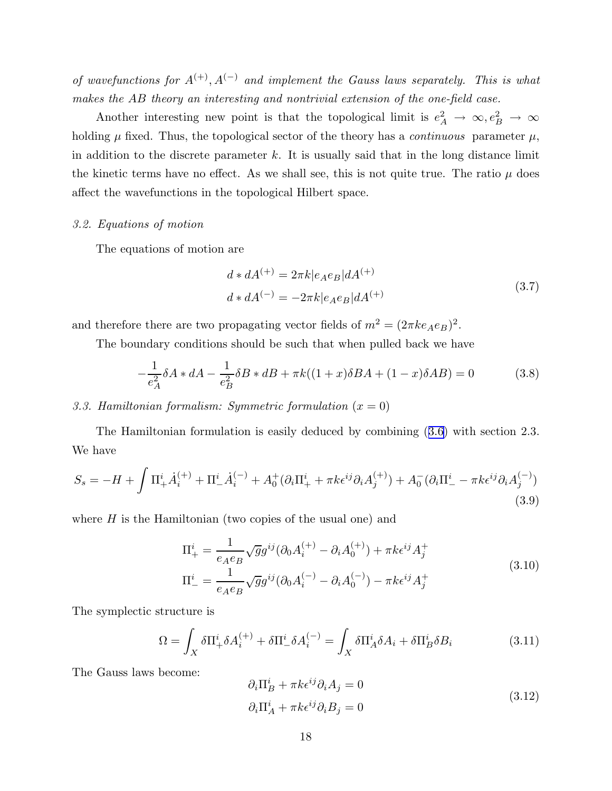<span id="page-18-0"></span>*of wavefunctions for*  $A^{(+)}$ ,  $A^{(-)}$  *and implement the Gauss laws separately. This is what makes the* AB *theory an interesting and nontrivial extension of the one-field case.*

Another interesting new point is that the topological limit is  $e_A^2 \to \infty, e_B^2 \to \infty$ holding  $\mu$  fixed. Thus, the topological sector of the theory has a *continuous* parameter  $\mu$ , in addition to the discrete parameter  $k$ . It is usually said that in the long distance limit the kinetic terms have no effect. As we shall see, this is not quite true. The ratio  $\mu$  does affect the wavefunctions in the topological Hilbert space.

#### *3.2. Equations of motion*

The equations of motion are

$$
d * dA^{(+)} = 2\pi k |e_A e_B| dA^{(+)}
$$
  
\n
$$
d * dA^{(-)} = -2\pi k |e_A e_B| dA^{(+)}
$$
\n(3.7)

and therefore there are two propagating vector fields of  $m^2 = (2\pi k e_A e_B)^2$ .

The boundary conditions should be such that when pulled back we have

$$
-\frac{1}{e_A^2} \delta A * dA - \frac{1}{e_B^2} \delta B * dB + \pi k((1+x)\delta BA + (1-x)\delta AB) = 0
$$
 (3.8)

# *3.3. Hamiltonian formalism: Symmetric formulation* (x = 0)

The Hamiltonian formulation is easily deduced by combining ([3.6](#page-17-0)) with section 2.3. We have

$$
S_s = -H + \int \Pi_+^i \dot{A}_i^{(+)} + \Pi_-^i \dot{A}_i^{(-)} + A_0^+(\partial_i \Pi_+^i + \pi k \epsilon^{ij} \partial_i A_j^{(+)}) + A_0^-(\partial_i \Pi_-^i - \pi k \epsilon^{ij} \partial_i A_j^{(-)})
$$
\n(3.9)

where  $H$  is the Hamiltonian (two copies of the usual one) and

$$
\Pi_{+}^{i} = \frac{1}{e_{A}e_{B}} \sqrt{g} g^{ij} (\partial_{0} A_{i}^{(+)} - \partial_{i} A_{0}^{(+)}) + \pi k \epsilon^{ij} A_{j}^{+}
$$
\n
$$
\Pi_{-}^{i} = \frac{1}{e_{A}e_{B}} \sqrt{g} g^{ij} (\partial_{0} A_{i}^{(-)} - \partial_{i} A_{0}^{(-)}) - \pi k \epsilon^{ij} A_{j}^{+}
$$
\n(3.10)

The symplectic structure is

$$
\Omega = \int_X \delta \Pi_+^i \delta A_i^{(+)} + \delta \Pi_-^i \delta A_i^{(-)} = \int_X \delta \Pi_A^i \delta A_i + \delta \Pi_B^i \delta B_i \tag{3.11}
$$

The Gauss laws become:

$$
\partial_i \Pi_B^i + \pi k \epsilon^{ij} \partial_i A_j = 0
$$
  
\n
$$
\partial_i \Pi_A^i + \pi k \epsilon^{ij} \partial_i B_j = 0
$$
\n(3.12)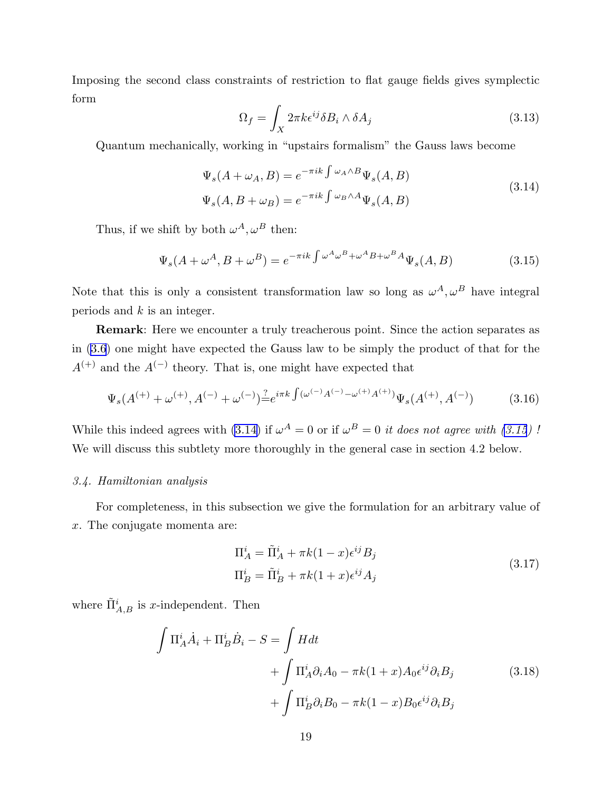<span id="page-19-0"></span>Imposing the second class constraints of restriction to flat gauge fields gives symplectic form

$$
\Omega_f = \int_X 2\pi k \epsilon^{ij} \delta B_i \wedge \delta A_j \tag{3.13}
$$

Quantum mechanically, working in "upstairs formalism" the Gauss laws become

$$
\Psi_s(A + \omega_A, B) = e^{-\pi i k \int \omega_A \wedge B} \Psi_s(A, B)
$$
\n
$$
\Psi_s(A, B + \omega_B) = e^{-\pi i k \int \omega_B \wedge A} \Psi_s(A, B)
$$
\n(3.14)

Thus, if we shift by both  $\omega^A, \omega^B$  then:

$$
\Psi_s(A + \omega^A, B + \omega^B) = e^{-\pi i k \int \omega^A \omega^B + \omega^A B + \omega^B A} \Psi_s(A, B)
$$
\n(3.15)

Note that this is only a consistent transformation law so long as  $\omega^A, \omega^B$  have integral periods and  $k$  is an integer.

Remark: Here we encounter a truly treacherous point. Since the action separates as in([3.6](#page-17-0)) one might have expected the Gauss law to be simply the product of that for the  $A^{(+)}$  and the  $A^{(-)}$  theory. That is, one might have expected that

$$
\Psi_s(A^{(+)} + \omega^{(+)}, A^{(-)} + \omega^{(-)}) \stackrel{?}{=} e^{i\pi k} \int (\omega^{(-)} A^{(-)} - \omega^{(+)} A^{(+)}) \Psi_s(A^{(+)}, A^{(-)}) \tag{3.16}
$$

While this indeed agrees with (3.14) if  $\omega^A = 0$  or if  $\omega^B = 0$  *it does not agree with (3.15)!* We will discuss this subtlety more thoroughly in the general case in section 4.2 below.

#### *3.4. Hamiltonian analysis*

For completeness, in this subsection we give the formulation for an arbitrary value of x. The conjugate momenta are:

$$
\Pi_A^i = \tilde{\Pi}_A^i + \pi k (1 - x) \epsilon^{ij} B_j
$$
  
\n
$$
\Pi_B^i = \tilde{\Pi}_B^i + \pi k (1 + x) \epsilon^{ij} A_j
$$
\n(3.17)

where  $\tilde{\Pi}_{A,B}^{i}$  is *x*-independent. Then

$$
\int \Pi_A^i \dot{A}_i + \Pi_B^i \dot{B}_i - S = \int H dt
$$
  
+ 
$$
\int \Pi_A^i \partial_i A_0 - \pi k (1+x) A_0 \epsilon^{ij} \partial_i B_j
$$
  
+ 
$$
\int \Pi_B^i \partial_i B_0 - \pi k (1-x) B_0 \epsilon^{ij} \partial_i B_j
$$
 (3.18)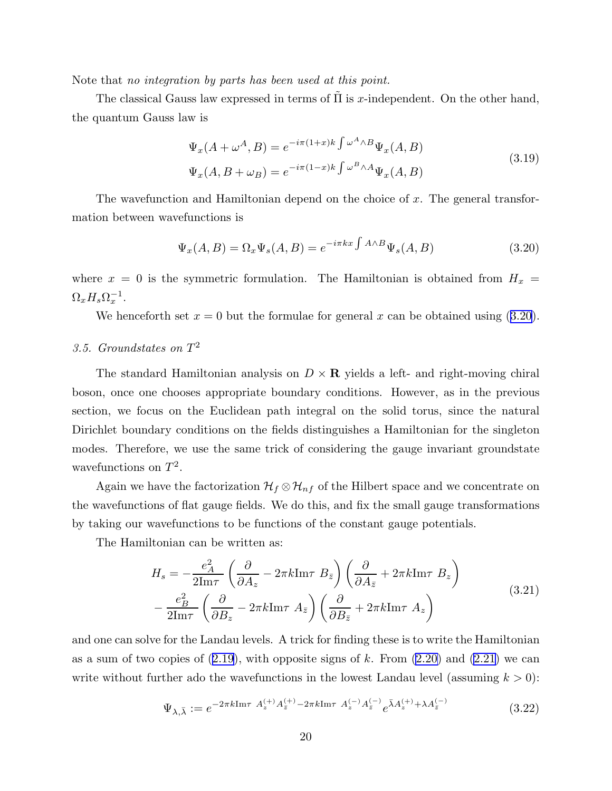<span id="page-20-0"></span>Note that *no integration by parts has been used at this point.*

The classical Gauss law expressed in terms of  $\Pi$  is x-independent. On the other hand, the quantum Gauss law is

$$
\Psi_x(A + \omega^A, B) = e^{-i\pi(1+x)k} \int \omega^A \wedge B \Psi_x(A, B)
$$
\n
$$
\Psi_x(A, B + \omega_B) = e^{-i\pi(1-x)k} \int \omega^B \wedge A \Psi_x(A, B) \tag{3.19}
$$

The wavefunction and Hamiltonian depend on the choice of  $x$ . The general transformation between wavefunctions is

$$
\Psi_x(A, B) = \Omega_x \Psi_s(A, B) = e^{-i\pi kx \int A \wedge B} \Psi_s(A, B)
$$
\n(3.20)

where  $x = 0$  is the symmetric formulation. The Hamiltonian is obtained from  $H_x$  =  $\Omega_x H_s \Omega_x^{-1}.$ 

We henceforth set  $x = 0$  but the formulae for general x can be obtained using (3.20).

# *3.5. Groundstates on* T 2

The standard Hamiltonian analysis on  $D \times \mathbf{R}$  yields a left- and right-moving chiral boson, once one chooses appropriate boundary conditions. However, as in the previous section, we focus on the Euclidean path integral on the solid torus, since the natural Dirichlet boundary conditions on the fields distinguishes a Hamiltonian for the singleton modes. Therefore, we use the same trick of considering the gauge invariant groundstate wavefunctions on  $T^2$ .

Again we have the factorization  $\mathcal{H}_f \otimes \mathcal{H}_{nf}$  of the Hilbert space and we concentrate on the wavefunctions of flat gauge fields. We do this, and fix the small gauge transformations by taking our wavefunctions to be functions of the constant gauge potentials.

The Hamiltonian can be written as:

$$
H_s = -\frac{e_A^2}{2\text{Im}\tau} \left( \frac{\partial}{\partial A_z} - 2\pi k \text{Im}\tau \ B_{\bar{z}} \right) \left( \frac{\partial}{\partial A_{\bar{z}}} + 2\pi k \text{Im}\tau \ B_z \right) - \frac{e_B^2}{2\text{Im}\tau} \left( \frac{\partial}{\partial B_z} - 2\pi k \text{Im}\tau \ A_{\bar{z}} \right) \left( \frac{\partial}{\partial B_{\bar{z}}} + 2\pi k \text{Im}\tau \ A_z \right)
$$
(3.21)

and one can solve for the Landau levels. A trick for finding these is to write the Hamiltonian asa sum of two copies of  $(2.19)$  $(2.19)$ , with opposite signs of k. From  $(2.20)$  and  $(2.21)$  we can write without further ado the wavefunctions in the lowest Landau level (assuming  $k > 0$ ):

$$
\Psi_{\lambda,\bar{\lambda}} := e^{-2\pi k \text{Im}\tau \ A_z^{(+)} A_{\bar{z}}^{(+)} - 2\pi k \text{Im}\tau \ A_z^{(-)} A_{\bar{z}}^{(-)} e^{\bar{\lambda} A_z^{(+)} + \lambda A_{\bar{z}}^{(-)}}}
$$
(3.22)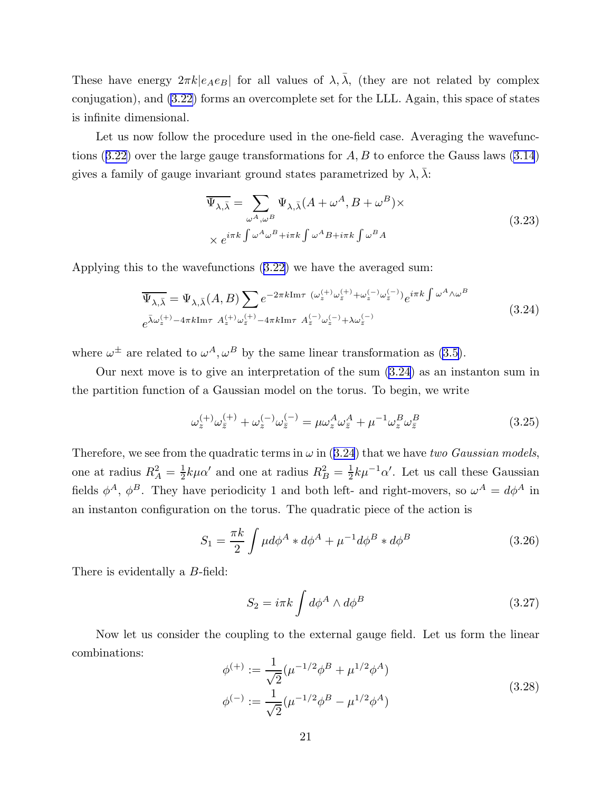<span id="page-21-0"></span>These have energy  $2\pi k|e_Ae_B|$  for all values of  $\lambda, \lambda$ , (they are not related by complex conjugation), and [\(3.22\)](#page-20-0) forms an overcomplete set for the LLL. Again, this space of states is infinite dimensional.

Let us now follow the procedure used in the one-field case. Averaging the wavefunc-tions $(3.22)$  $(3.22)$  over the large gauge transformations for  $A, B$  to enforce the Gauss laws  $(3.14)$ gives a family of gauge invariant ground states parametrized by  $\lambda$ ,  $\lambda$ :

$$
\overline{\Psi_{\lambda,\bar{\lambda}}} = \sum_{\omega^A,\omega^B} \Psi_{\lambda,\bar{\lambda}} (A + \omega^A, B + \omega^B) \times
$$
\n
$$
\times e^{i\pi k \int \omega^A \omega^B + i\pi k \int \omega^A B + i\pi k \int \omega^B A}
$$
\n(3.23)

Applying this to the wavefunctions([3.22](#page-20-0)) we have the averaged sum:

$$
\overline{\Psi_{\lambda,\bar{\lambda}}} = \Psi_{\lambda,\bar{\lambda}}(A,B) \sum e^{-2\pi k \text{Im}\tau} \left( \omega_z^{(+)} \omega_{\bar{z}}^{(+)} + \omega_z^{(-)} \omega_{\bar{z}}^{(-)} \right) e^{i\pi k \int \omega^A \wedge \omega^B}
$$
\n
$$
e^{\bar{\lambda}\omega_z^{(+)} - 4\pi k \text{Im}\tau} \; A_z^{(+)} \omega_{\bar{z}}^{(+)} - 4\pi k \text{Im}\tau \; A_{\bar{z}}^{(-)} \omega_z^{(-)} + \lambda \omega_{\bar{z}}^{(-)} \tag{3.24}
$$

where  $\omega^{\pm}$  are related to  $\omega^{A}, \omega^{B}$  by the same linear transformation as [\(3.5\)](#page-17-0).

Our next move is to give an interpretation of the sum (3.24) as an instanton sum in the partition function of a Gaussian model on the torus. To begin, we write

$$
\omega_z^{(+)}\omega_{\bar{z}}^{(+)} + \omega_z^{(-)}\omega_{\bar{z}}^{(-)} = \mu\omega_z^A\omega_{\bar{z}}^A + \mu^{-1}\omega_z^B\omega_{\bar{z}}^B
$$
\n(3.25)

Therefore, we see from the quadratic terms in  $\omega$  in (3.24) that we have *two Gaussian models*, one at radius  $R_A^2 = \frac{1}{2}$  $\frac{1}{2}k\mu\alpha'$  and one at radius  $R_B^2 = \frac{1}{2}$  $\frac{1}{2}k\mu^{-1}\alpha'$ . Let us call these Gaussian fields  $\phi^A$ ,  $\phi^B$ . They have periodicity 1 and both left- and right-movers, so  $\omega^A = d\phi^A$  in an instanton configuration on the torus. The quadratic piece of the action is

$$
S_1 = \frac{\pi k}{2} \int \mu d\phi^A * d\phi^A + \mu^{-1} d\phi^B * d\phi^B
$$
 (3.26)

There is evidentally a B-field:

$$
S_2 = i\pi k \int d\phi^A \wedge d\phi^B \tag{3.27}
$$

Now let us consider the coupling to the external gauge field. Let us form the linear combinations:

$$
\phi^{(+)} := \frac{1}{\sqrt{2}} (\mu^{-1/2} \phi^B + \mu^{1/2} \phi^A)
$$
  

$$
\phi^{(-)} := \frac{1}{\sqrt{2}} (\mu^{-1/2} \phi^B - \mu^{1/2} \phi^A)
$$
 (3.28)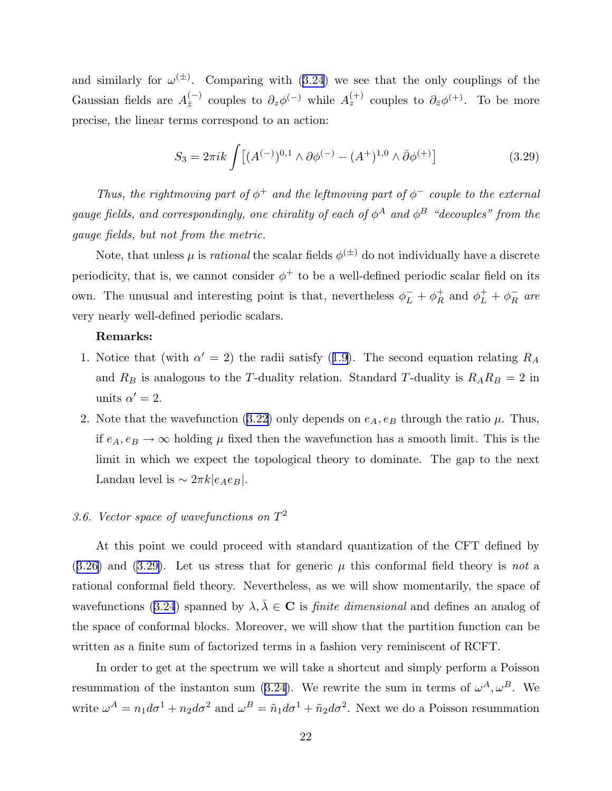<span id="page-22-0"></span>andsimilarly for  $\omega^{(\pm)}$ . Comparing with ([3.24](#page-21-0)) we see that the only couplings of the Gaussian fields are  $A_{\bar{z}}^{(-)}$  couples to  $\partial_z \phi^{(-)}$  while  $A_z^{(+)}$  couples to  $\partial_{\bar{z}} \phi^{(+)}$ . To be more precise, the linear terms correspond to an action:

$$
S_3 = 2\pi i k \int \left[ (A^{(-)})^{0,1} \wedge \partial \phi^{(-)} - (A^+)^{1,0} \wedge \bar{\partial} \phi^{(+)} \right] \tag{3.29}
$$

*Thus, the rightmoving part of*  $\phi^+$  *and the leftmoving part of*  $\phi^-$  *couple to the external gauge fields, and correspondingly, one chirality of each of*  $\phi^A$  *and*  $\phi^B$  "decouples" from the *gauge fields, but not from the metric.*

Note, that unless  $\mu$  is *rational* the scalar fields  $\phi^{(\pm)}$  do not individually have a discrete periodicity, that is, we cannot consider  $\phi^+$  to be a well-defined periodic scalar field on its own. The unusual and interesting point is that, nevertheless  $\phi_L^- + \phi_R^+$  and  $\phi_L^+ + \phi_R^-$  are very nearly well-defined periodic scalars.

#### Remarks:

- 1.Notice that (with  $\alpha' = 2$ ) the radii satisfy ([1.9\)](#page-4-0). The second equation relating  $R_A$ and  $R_B$  is analogous to the T-duality relation. Standard T-duality is  $R_A R_B = 2$  in units  $\alpha' = 2$ .
- 2.Note that the wavefunction ([3.22](#page-20-0)) only depends on  $e_A, e_B$  through the ratio  $\mu$ . Thus, if  $e_A, e_B \to \infty$  holding  $\mu$  fixed then the wavefunction has a smooth limit. This is the limit in which we expect the topological theory to dominate. The gap to the next Landau level is  $\sim 2\pi k |e_Ae_B|$ .

# *3.6. Vector space of wavefunctions on* T 2

At this point we could proceed with standard quantization of the CFT defined by  $(3.26)$  $(3.26)$  $(3.26)$  and  $(3.29)$ . Let us stress that for generic  $\mu$  this conformal field theory is *not* a rational conformal field theory. Nevertheless, as we will show momentarily, the space of wavefunctions [\(3.24](#page-21-0)) spanned by  $\lambda, \lambda \in \mathbb{C}$  is *finite dimensional* and defines an analog of the space of conformal blocks. Moreover, we will show that the partition function can be written as a finite sum of factorized terms in a fashion very reminiscent of RCFT.

In order to get at the spectrum we will take a shortcut and simply perform a Poisson resummationof the instanton sum ([3.24](#page-21-0)). We rewrite the sum in terms of  $\omega^A, \omega^B$ . We write  $\omega^A = n_1 d\sigma^1 + n_2 d\sigma^2$  and  $\omega^B = \tilde{n}_1 d\sigma^1 + \tilde{n}_2 d\sigma^2$ . Next we do a Poisson resummation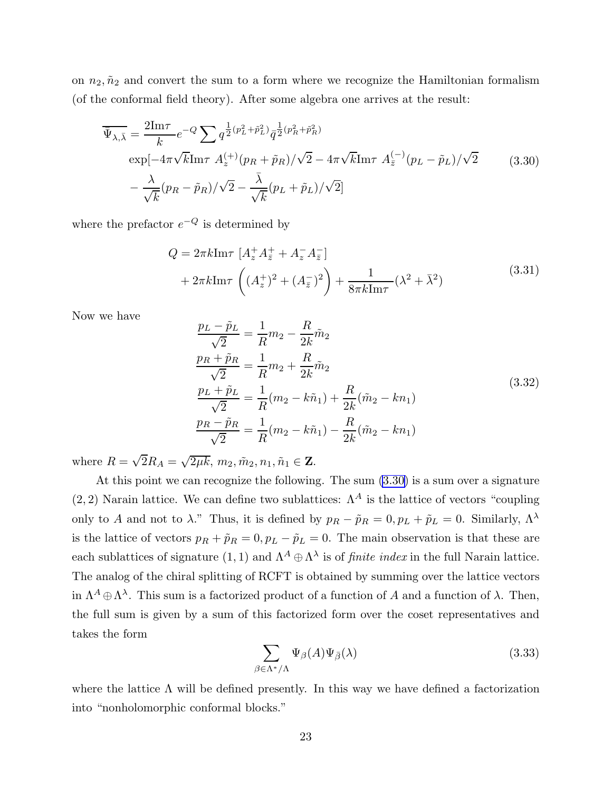<span id="page-23-0"></span>on  $n_2, \tilde{n}_2$  and convert the sum to a form where we recognize the Hamiltonian formalism (of the conformal field theory). After some algebra one arrives at the result:

$$
\overline{\Psi}_{\lambda,\bar{\lambda}} = \frac{2\text{Im}\tau}{k} e^{-Q} \sum q^{\frac{1}{2}(p_L^2 + \tilde{p}_L^2)} \overline{q}^{\frac{1}{2}(p_R^2 + \tilde{p}_R^2)} \n\exp[-4\pi\sqrt{k}\text{Im}\tau \ A_{z}^{(+)}(p_R + \tilde{p}_R)/\sqrt{2} - 4\pi\sqrt{k}\text{Im}\tau \ A_{\bar{z}}^{(-)}(p_L - \tilde{p}_L)/\sqrt{2} \n- \frac{\lambda}{\sqrt{k}}(p_R - \tilde{p}_R)/\sqrt{2} - \frac{\overline{\lambda}}{\sqrt{k}}(p_L + \tilde{p}_L)/\sqrt{2}]
$$
\n(3.30)

where the prefactor  $e^{-Q}$  is determined by

$$
Q = 2\pi k \text{Im}\tau \left[ A_z^+ A_{\bar{z}}^+ + A_z^- A_{\bar{z}}^- \right] + 2\pi k \text{Im}\tau \left( (A_z^+)^2 + (A_{\bar{z}}^-)^2 \right) + \frac{1}{8\pi k \text{Im}\tau} (\lambda^2 + \bar{\lambda}^2)
$$
(3.31)

Now we have

$$
\frac{p_L - \tilde{p}_L}{\sqrt{2}} = \frac{1}{R} m_2 - \frac{R}{2k} \tilde{m}_2
$$
\n
$$
\frac{p_R + \tilde{p}_R}{\sqrt{2}} = \frac{1}{R} m_2 + \frac{R}{2k} \tilde{m}_2
$$
\n
$$
\frac{p_L + \tilde{p}_L}{\sqrt{2}} = \frac{1}{R} (m_2 - k\tilde{n}_1) + \frac{R}{2k} (\tilde{m}_2 - k n_1)
$$
\n
$$
\frac{p_R - \tilde{p}_R}{\sqrt{2}} = \frac{1}{R} (m_2 - k\tilde{n}_1) - \frac{R}{2k} (\tilde{m}_2 - k n_1)
$$
\n(3.32)

where  $R = \sqrt{2}R_A = \sqrt{2\mu k}, m_2, \tilde{m}_2, n_1, \tilde{n}_1 \in \mathbf{Z}$ .

At this point we can recognize the following. The sum (3.30) is a sum over a signature  $(2, 2)$  Narain lattice. We can define two sublattices:  $\Lambda^A$  is the lattice of vectors "coupling" only to A and not to  $\lambda$ ." Thus, it is defined by  $p_R - \tilde{p}_R = 0$ ,  $p_L + \tilde{p}_L = 0$ . Similarly,  $\Lambda^{\lambda}$ is the lattice of vectors  $p_R + \tilde{p}_R = 0$ ,  $p_L - \tilde{p}_L = 0$ . The main observation is that these are each sublattices of signature  $(1, 1)$  and  $\Lambda^A \oplus \Lambda^\lambda$  is of *finite index* in the full Narain lattice. The analog of the chiral splitting of RCFT is obtained by summing over the lattice vectors in  $\Lambda^A \oplus \Lambda^\lambda$ . This sum is a factorized product of a function of A and a function of  $\lambda$ . Then, the full sum is given by a sum of this factorized form over the coset representatives and takes the form

$$
\sum_{\beta \in \Lambda^*/\Lambda} \Psi_{\beta}(A) \Psi_{\bar{\beta}}(\lambda) \tag{3.33}
$$

where the lattice  $\Lambda$  will be defined presently. In this way we have defined a factorization into "nonholomorphic conformal blocks."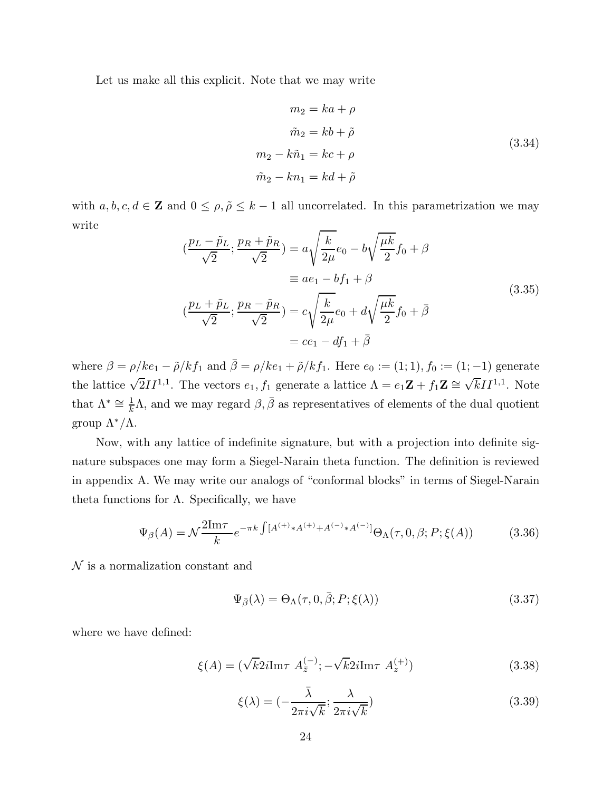Let us make all this explicit. Note that we may write

$$
m_2 = ka + \rho
$$
  
\n
$$
\tilde{m}_2 = kb + \tilde{\rho}
$$
  
\n
$$
m_2 - k\tilde{n}_1 = kc + \rho
$$
  
\n
$$
\tilde{m}_2 - kn_1 = kd + \tilde{\rho}
$$
\n(3.34)

with  $a, b, c, d \in \mathbb{Z}$  and  $0 \leq \rho, \tilde{\rho} \leq k-1$  all uncorrelated. In this parametrization we may write

$$
\left(\frac{p_L - \tilde{p}_L}{\sqrt{2}}; \frac{p_R + \tilde{p}_R}{\sqrt{2}}\right) = a \sqrt{\frac{k}{2\mu}} e_0 - b \sqrt{\frac{\mu k}{2}} f_0 + \beta
$$
  

$$
\equiv a e_1 - b f_1 + \beta
$$
  

$$
\left(\frac{p_L + \tilde{p}_L}{\sqrt{2}}; \frac{p_R - \tilde{p}_R}{\sqrt{2}}\right) = c \sqrt{\frac{k}{2\mu}} e_0 + d \sqrt{\frac{\mu k}{2}} f_0 + \bar{\beta}
$$
  

$$
= c e_1 - df_1 + \bar{\beta}
$$
 (3.35)

where  $\beta = \rho/ke_1 - \tilde{\rho}/kf_1$  and  $\bar{\beta} = \rho/ke_1 + \tilde{\rho}/kf_1$ . Here  $e_0 := (1, 1), f_0 := (1, -1)$  generate the lattice  $\sqrt{2}II^{1,1}$ . The vectors  $e_1, f_1$  generate a lattice  $\Lambda = e_1 \mathbf{Z} + f_1 \mathbf{Z} \cong \sqrt{k}II^{1,1}$ . Note that  $\Lambda^* \cong \frac{1}{k}$  $\frac{1}{k}\Lambda$ , and we may regard  $\beta$ ,  $\bar{\beta}$  as representatives of elements of the dual quotient group Λ∗/Λ.

Now, with any lattice of indefinite signature, but with a projection into definite signature subspaces one may form a Siegel-Narain theta function. The definition is reviewed in appendix A. We may write our analogs of "conformal blocks" in terms of Siegel-Narain theta functions for  $\Lambda$ . Specifically, we have

$$
\Psi_{\beta}(A) = \mathcal{N}\frac{2\mathrm{Im}\tau}{k}e^{-\pi k\int [A^{(+)}*A^{(+)}+A^{(-)}*A^{(-)}]} \Theta_{\Lambda}(\tau,0,\beta;P;\xi(A))
$$
(3.36)

 $\mathcal N$  is a normalization constant and

$$
\Psi_{\bar{\beta}}(\lambda) = \Theta_{\Lambda}(\tau, 0, \bar{\beta}; P; \xi(\lambda)) \tag{3.37}
$$

where we have defined:

$$
\xi(A) = (\sqrt{k}2i\mathrm{Im}\tau \ A_{\bar{z}}^{(-)}; -\sqrt{k}2i\mathrm{Im}\tau \ A_{z}^{(+)})
$$
\n(3.38)

$$
\xi(\lambda) = \left(-\frac{\bar{\lambda}}{2\pi i\sqrt{k}};\frac{\lambda}{2\pi i\sqrt{k}}\right) \tag{3.39}
$$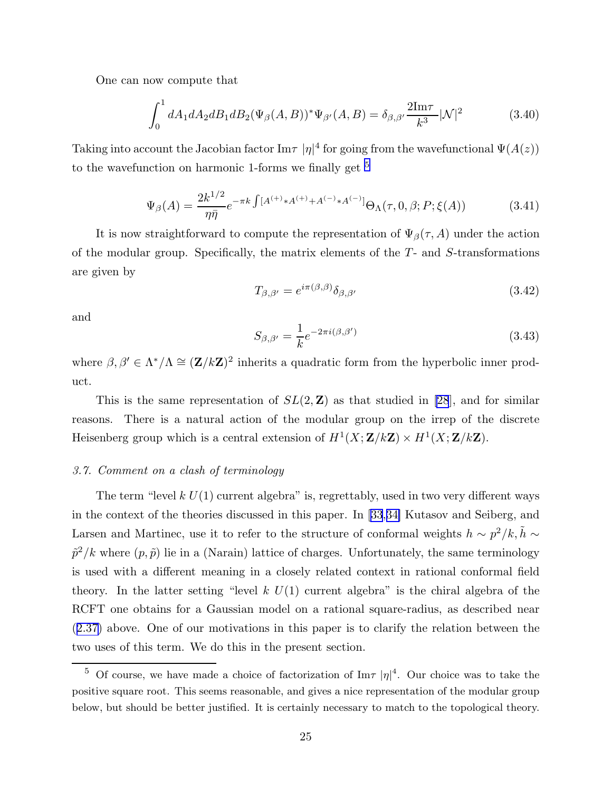<span id="page-25-0"></span>One can now compute that

$$
\int_0^1 dA_1 dA_2 dB_1 dB_2 (\Psi_\beta(A, B))^* \Psi_{\beta'}(A, B) = \delta_{\beta, \beta'} \frac{2 \text{Im} \tau}{k^3} |\mathcal{N}|^2 \tag{3.40}
$$

Taking into account the Jacobian factor  $\text{Im}\tau$  | $\eta$ |<sup>4</sup> for going from the wavefunctional  $\Psi(A(z))$ to the wavefunction on harmonic 1-forms we finally get  $^5$ 

$$
\Psi_{\beta}(A) = \frac{2k^{1/2}}{\eta \bar{\eta}} e^{-\pi k \int [A^{(+)} \ast A^{(+)} + A^{(-)} \ast A^{(-)}]} \Theta_{\Lambda}(\tau, 0, \beta; P; \xi(A))
$$
(3.41)

It is now straightforward to compute the representation of  $\Psi_{\beta}(\tau, A)$  under the action of the modular group. Specifically, the matrix elements of the  $T-$  and  $S-$ transformations are given by

$$
T_{\beta,\beta'} = e^{i\pi(\beta,\beta)} \delta_{\beta,\beta'} \tag{3.42}
$$

and

$$
S_{\beta,\beta'} = \frac{1}{k} e^{-2\pi i(\beta,\beta')}
$$
\n(3.43)

where  $\beta, \beta' \in \Lambda^*/\Lambda \cong (\mathbf{Z}/k\mathbf{Z})^2$  inherits a quadratic form from the hyperbolic inner product.

This is the same representation of  $SL(2, \mathbb{Z})$  as that studied in [\[28](#page-41-0)], and for similar reasons. There is a natural action of the modular group on the irrep of the discrete Heisenberg group which is a central extension of  $H^1(X; \mathbf{Z}/k\mathbf{Z}) \times H^1(X; \mathbf{Z}/k\mathbf{Z})$ .

#### *3.7. Comment on a clash of terminology*

The term "level  $k U(1)$  current algebra" is, regrettably, used in two very different ways in the context of the theories discussed in this paper. In [\[33](#page-41-0),[34\]](#page-41-0) Kutasov and Seiberg, and Larsen and Martinec, use it to refer to the structure of conformal weights  $h \sim p^2/k$ ,  $\tilde{h} \sim$  $\tilde{p}^2/k$  where  $(p, \tilde{p})$  lie in a (Narain) lattice of charges. Unfortunately, the same terminology is used with a different meaning in a closely related context in rational conformal field theory. In the latter setting "level k  $U(1)$  current algebra" is the chiral algebra of the RCFT one obtains for a Gaussian model on a rational square-radius, as described near ([2.37](#page-16-0)) above. One of our motivations in this paper is to clarify the relation between the two uses of this term. We do this in the present section.

<sup>&</sup>lt;sup>5</sup> Of course, we have made a choice of factorization of Im $\tau |\eta|^4$ . Our choice was to take the positive square root. This seems reasonable, and gives a nice representation of the modular group below, but should be better justified. It is certainly necessary to match to the topological theory.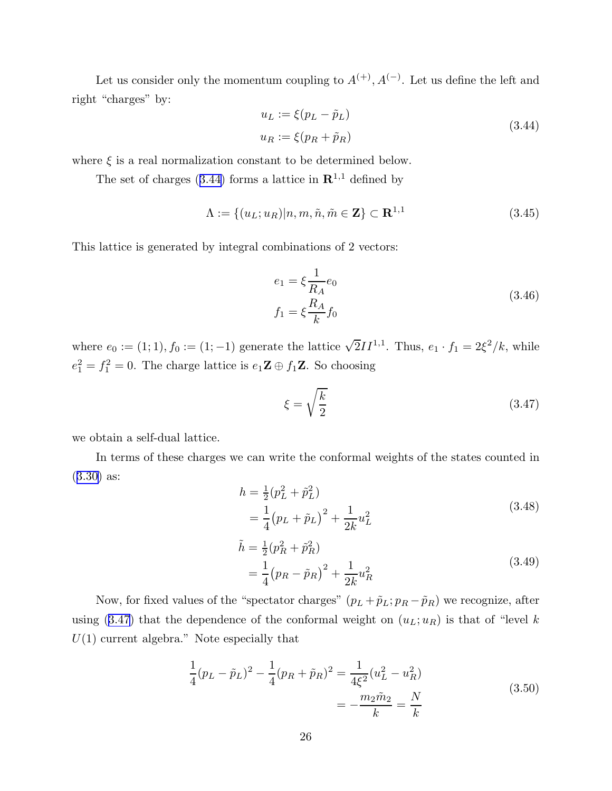<span id="page-26-0"></span>Let us consider only the momentum coupling to  $A^{(+)}$ ,  $A^{(-)}$ . Let us define the left and right "charges" by:  $U_{\infty} = \tilde{g}$ 

$$
u_L := \xi(p_L - \tilde{p}_L)
$$
  

$$
u_R := \xi(p_R + \tilde{p}_R)
$$
 (3.44)

where  $\xi$  is a real normalization constant to be determined below.

The set of charges (3.44) forms a lattice in  $\mathbb{R}^{1,1}$  defined by

$$
\Lambda := \{ (u_L; u_R) | n, m, \tilde{n}, \tilde{m} \in \mathbf{Z} \} \subset \mathbf{R}^{1,1}
$$
\n(3.45)

This lattice is generated by integral combinations of 2 vectors:

$$
e_1 = \xi \frac{1}{R_A} e_0
$$
  

$$
f_1 = \xi \frac{R_A}{k} f_0
$$
 (3.46)

where  $e_0 := (1; 1), f_0 := (1; -1)$  generate the lattice  $\sqrt{2}II^{1,1}$ . Thus,  $e_1 \cdot f_1 = 2\xi^2/k$ , while  $e_1^2 = f_1^2 = 0$ . The charge lattice is  $e_1 \mathbf{Z} \oplus f_1 \mathbf{Z}$ . So choosing

$$
\xi = \sqrt{\frac{k}{2}}\tag{3.47}
$$

we obtain a self-dual lattice.

In terms of these charges we can write the conformal weights of the states counted in ([3.30](#page-23-0)) as:

$$
h = \frac{1}{2} (p_L^2 + \tilde{p}_L^2)
$$
  
=  $\frac{1}{4} (p_L + \tilde{p}_L)^2 + \frac{1}{2k} u_L^2$  (3.48)

$$
\tilde{h} = \frac{1}{2} (p_R^2 + \tilde{p}_R^2) \n= \frac{1}{4} (p_R - \tilde{p}_R)^2 + \frac{1}{2k} u_R^2
$$
\n(3.49)

Now, for fixed values of the "spectator charges"  $(p_L + \tilde{p}_L; p_R - \tilde{p}_R)$  we recognize, after using (3.47) that the dependence of the conformal weight on  $(u_L; u_R)$  is that of "level k  $U(1)$  current algebra." Note especially that

$$
\frac{1}{4}(p_L - \tilde{p}_L)^2 - \frac{1}{4}(p_R + \tilde{p}_R)^2 = \frac{1}{4\xi^2}(u_L^2 - u_R^2)
$$
\n
$$
= -\frac{m_2\tilde{m}_2}{k} = \frac{N}{k}
$$
\n(3.50)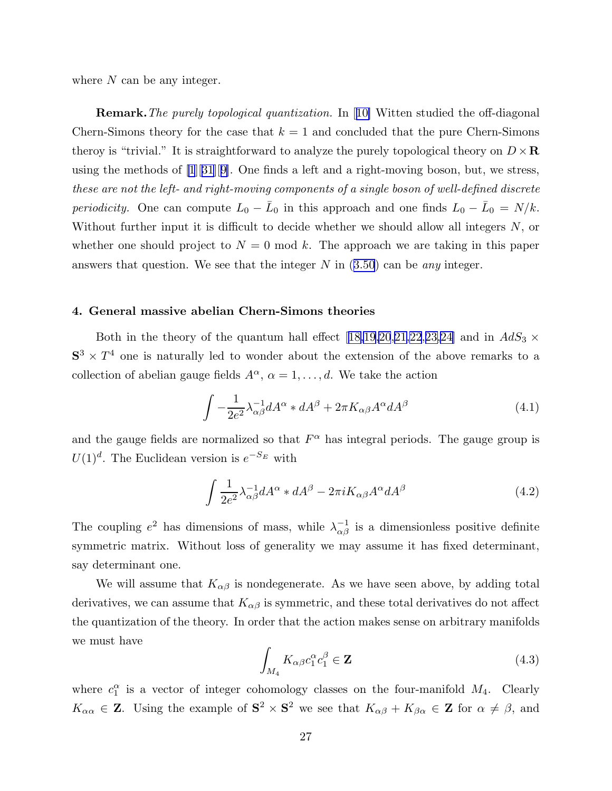<span id="page-27-0"></span>where  $N$  can be any integer.

Remark.*The purely topological quantization.* In[[10\]](#page-40-0) Witten studied the off-diagonal Chern-Simons theory for the case that  $k = 1$  and concluded that the pure Chern-Simons theroy is "trivial." It is straightforward to analyze the purely topological theory on  $D \times \mathbf{R}$ using the methods of [\[1](#page-40-0)][[31\]](#page-41-0)[[9\]](#page-40-0). One finds a left and a right-moving boson, but, we stress, *these are not the left- and right-moving components of a single boson of well-defined discrete periodicity*. One can compute  $L_0 - \bar{L}_0$  in this approach and one finds  $L_0 - \bar{L}_0 = N/k$ . Without further input it is difficult to decide whether we should allow all integers  $N$ , or whether one should project to  $N = 0 \text{ mod } k$ . The approach we are taking in this paper answers that question. We see that the integer N in([3.50](#page-26-0)) can be *any* integer.

#### 4. General massive abelian Chern-Simons theories

Bothin the theory of the quantum hall effect [[18,19,20](#page-41-0),[21,22](#page-41-0),[23,24\]](#page-41-0) and in  $AdS_3 \times$  $S^3 \times T^4$  one is naturally led to wonder about the extension of the above remarks to a collection of abelian gauge fields  $A^{\alpha}$ ,  $\alpha = 1, \ldots, d$ . We take the action

$$
\int -\frac{1}{2e^2} \lambda_{\alpha\beta}^{-1} dA^{\alpha} * dA^{\beta} + 2\pi K_{\alpha\beta} A^{\alpha} dA^{\beta}
$$
\n(4.1)

and the gauge fields are normalized so that  $F^{\alpha}$  has integral periods. The gauge group is  $U(1)<sup>d</sup>$ . The Euclidean version is  $e^{-S_E}$  with

$$
\int \frac{1}{2e^2} \lambda_{\alpha\beta}^{-1} dA^{\alpha} * dA^{\beta} - 2\pi i K_{\alpha\beta} A^{\alpha} dA^{\beta}
$$
 (4.2)

The coupling  $e^2$  has dimensions of mass, while  $\lambda_{\alpha\beta}^{-1}$  is a dimensionless positive definite symmetric matrix. Without loss of generality we may assume it has fixed determinant, say determinant one.

We will assume that  $K_{\alpha\beta}$  is nondegenerate. As we have seen above, by adding total derivatives, we can assume that  $K_{\alpha\beta}$  is symmetric, and these total derivatives do not affect the quantization of the theory. In order that the action makes sense on arbitrary manifolds we must have

$$
\int_{M_4} K_{\alpha\beta} c_1^{\alpha} c_1^{\beta} \in \mathbf{Z} \tag{4.3}
$$

where  $c_1^{\alpha}$  is a vector of integer cohomology classes on the four-manifold  $M_4$ . Clearly  $K_{\alpha\alpha} \in \mathbf{Z}$ . Using the example of  $S^2 \times S^2$  we see that  $K_{\alpha\beta} + K_{\beta\alpha} \in \mathbf{Z}$  for  $\alpha \neq \beta$ , and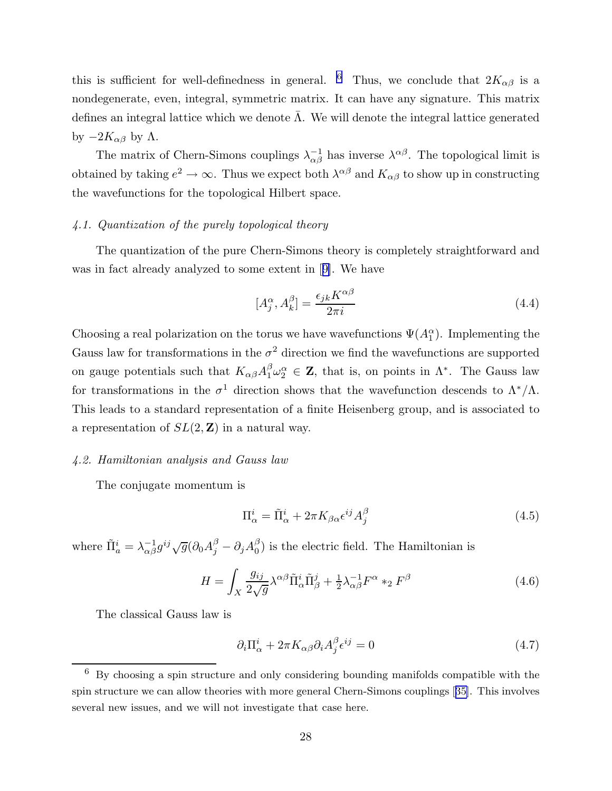<span id="page-28-0"></span>this is sufficient for well-definedness in general. <sup>6</sup> Thus, we conclude that  $2K_{\alpha\beta}$  is a nondegenerate, even, integral, symmetric matrix. It can have any signature. This matrix defines an integral lattice which we denote  $\Lambda$ . We will denote the integral lattice generated by  $-2K_{\alpha\beta}$  by  $\Lambda$ .

The matrix of Chern-Simons couplings  $\lambda_{\alpha\beta}^{-1}$  has inverse  $\lambda^{\alpha\beta}$ . The topological limit is obtained by taking  $e^2 \to \infty$ . Thus we expect both  $\lambda^{\alpha\beta}$  and  $K_{\alpha\beta}$  to show up in constructing the wavefunctions for the topological Hilbert space.

# *4.1. Quantization of the purely topological theory*

The quantization of the pure Chern-Simons theory is completely straightforward and was in fact already analyzed to some extent in[[9\]](#page-40-0). We have

$$
[A_j^{\alpha}, A_k^{\beta}] = \frac{\epsilon_{jk} K^{\alpha \beta}}{2\pi i}
$$
\n(4.4)

Choosing a real polarization on the torus we have wavefunctions  $\Psi(A_1^{\alpha})$ . Implementing the Gauss law for transformations in the  $\sigma^2$  direction we find the wavefunctions are supported on gauge potentials such that  $K_{\alpha\beta}A_1^{\beta}\omega_2^{\alpha} \in \mathbf{Z}$ , that is, on points in  $\Lambda^*$ . The Gauss law for transformations in the  $\sigma^1$  direction shows that the wavefunction descends to  $\Lambda^*/\Lambda$ . This leads to a standard representation of a finite Heisenberg group, and is associated to a representation of  $SL(2, \mathbb{Z})$  in a natural way.

#### *4.2. Hamiltonian analysis and Gauss law*

The conjugate momentum is

$$
\Pi_{\alpha}^{i} = \tilde{\Pi}_{\alpha}^{i} + 2\pi K_{\beta\alpha} \epsilon^{ij} A_{j}^{\beta}
$$
\n(4.5)

where  $\tilde{\Pi}^i_a = \lambda^{-1}_{\alpha\beta} g^{ij} \sqrt{g} (\partial_0 A^\beta_j - \partial_j A^\beta_0)$  $\binom{6}{0}$  is the electric field. The Hamiltonian is

$$
H = \int_X \frac{g_{ij}}{2\sqrt{g}} \lambda^{\alpha\beta} \tilde{\Pi}^i_{\alpha} \tilde{\Pi}^j_{\beta} + \frac{1}{2} \lambda^{-1}_{\alpha\beta} F^{\alpha} *_{2} F^{\beta}
$$
(4.6)

The classical Gauss law is

$$
\partial_i \Pi^i_\alpha + 2\pi K_{\alpha\beta} \partial_i A^\beta_j \epsilon^{ij} = 0 \tag{4.7}
$$

 $6\,$  By choosing a spin structure and only considering bounding manifolds compatible with the spin structure we can allow theories with more general Chern-Simons couplings[[35\]](#page-41-0). This involves several new issues, and we will not investigate that case here.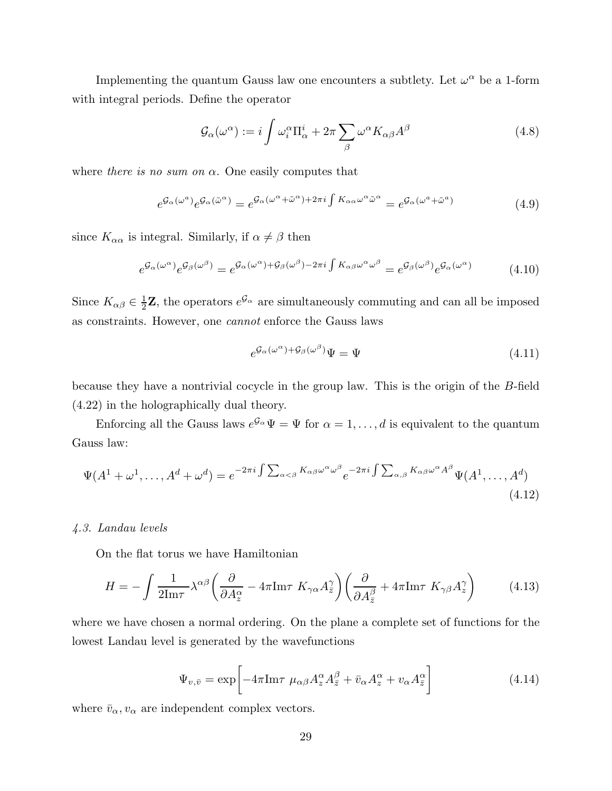<span id="page-29-0"></span>Implementing the quantum Gauss law one encounters a subtlety. Let  $\omega^{\alpha}$  be a 1-form with integral periods. Define the operator

$$
\mathcal{G}_{\alpha}(\omega^{\alpha}) := i \int \omega_i^{\alpha} \Pi_{\alpha}^i + 2\pi \sum_{\beta} \omega^{\alpha} K_{\alpha\beta} A^{\beta}
$$
\n(4.8)

where *there is no sum on*  $\alpha$ . One easily computes that

$$
e^{\mathcal{G}_{\alpha}(\omega^{a})}e^{\mathcal{G}_{\alpha}(\tilde{\omega}^{\alpha})} = e^{\mathcal{G}_{\alpha}(\omega^{\alpha} + \tilde{\omega}^{\alpha}) + 2\pi i \int K_{\alpha\alpha}\omega^{\alpha}\tilde{\omega}^{\alpha}} = e^{\mathcal{G}_{\alpha}(\omega^{a} + \tilde{\omega}^{a})}
$$
(4.9)

since  $K_{\alpha\alpha}$  is integral. Similarly, if  $\alpha \neq \beta$  then

$$
e^{\mathcal{G}_{\alpha}(\omega^{\alpha})}e^{\mathcal{G}_{\beta}(\omega^{\beta})} = e^{\mathcal{G}_{\alpha}(\omega^{\alpha}) + \mathcal{G}_{\beta}(\omega^{\beta}) - 2\pi i \int K_{\alpha\beta}\omega^{\alpha}\omega^{\beta}} = e^{\mathcal{G}_{\beta}(\omega^{\beta})}e^{\mathcal{G}_{\alpha}(\omega^{\alpha})}
$$
(4.10)

Since  $K_{\alpha\beta} \in \frac{1}{2}\mathbf{Z}$ , the operators  $e^{\mathcal{G}_{\alpha}}$  are simultaneously commuting and can all be imposed as constraints. However, one *cannot* enforce the Gauss laws

$$
e^{\mathcal{G}_{\alpha}(\omega^{\alpha}) + \mathcal{G}_{\beta}(\omega^{\beta})}\Psi = \Psi \tag{4.11}
$$

because they have a nontrivial cocycle in the group law. This is the origin of the B-field (4.22) in the holographically dual theory.

Enforcing all the Gauss laws  $e^{\mathcal{G}_{\alpha}}\Psi = \Psi$  for  $\alpha = 1, \ldots, d$  is equivalent to the quantum Gauss law:

$$
\Psi(A^{1} + \omega^{1}, \dots, A^{d} + \omega^{d}) = e^{-2\pi i \int \sum_{\alpha < \beta} K_{\alpha\beta} \omega^{\alpha} \omega^{\beta}} e^{-2\pi i \int \sum_{\alpha, \beta} K_{\alpha\beta} \omega^{\alpha} A^{\beta}} \Psi(A^{1}, \dots, A^{d})
$$
\n(4.12)

# *4.3. Landau levels*

On the flat torus we have Hamiltonian

$$
H = -\int \frac{1}{2\mathrm{Im}\tau} \lambda^{\alpha\beta} \left( \frac{\partial}{\partial A_z^{\alpha}} - 4\pi \mathrm{Im}\tau \ K_{\gamma\alpha} A_{\bar{z}}^{\gamma} \right) \left( \frac{\partial}{\partial A_{\bar{z}}^{\beta}} + 4\pi \mathrm{Im}\tau \ K_{\gamma\beta} A_z^{\gamma} \right) \tag{4.13}
$$

where we have chosen a normal ordering. On the plane a complete set of functions for the lowest Landau level is generated by the wavefunctions

$$
\Psi_{v,\bar{v}} = \exp\left[-4\pi\mathrm{Im}\tau \ \mu_{\alpha\beta} A_z^{\alpha} A_{\bar{z}}^{\beta} + \bar{v}_{\alpha} A_z^{\alpha} + v_{\alpha} A_{\bar{z}}^{\alpha}\right]
$$
(4.14)

where  $\bar{v}_{\alpha}, v_{\alpha}$  are independent complex vectors.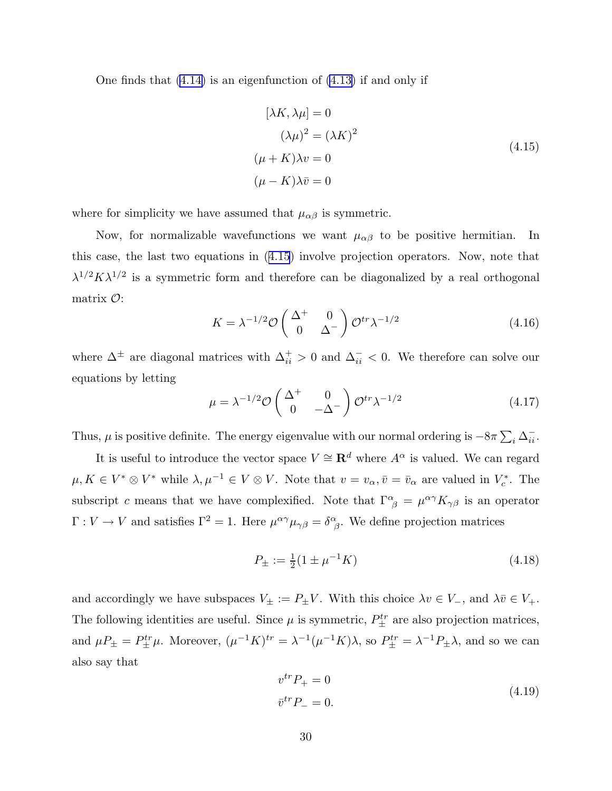One finds that [\(4.14\)](#page-29-0) is an eigenfunction of [\(4.13\)](#page-29-0) if and only if

$$
[\lambda K, \lambda \mu] = 0
$$
  
\n
$$
(\lambda \mu)^2 = (\lambda K)^2
$$
  
\n
$$
(\mu + K)\lambda v = 0
$$
  
\n
$$
(\mu - K)\lambda \bar{v} = 0
$$
\n(4.15)

where for simplicity we have assumed that  $\mu_{\alpha\beta}$  is symmetric.

Now, for normalizable wavefunctions we want  $\mu_{\alpha\beta}$  to be positive hermitian. In this case, the last two equations in (4.15) involve projection operators. Now, note that  $\lambda^{1/2} K \lambda^{1/2}$  is a symmetric form and therefore can be diagonalized by a real orthogonal matrix  $\mathcal{O}$ :

$$
K = \lambda^{-1/2} \mathcal{O}\begin{pmatrix} \Delta^+ & 0\\ 0 & \Delta^- \end{pmatrix} \mathcal{O}^{tr} \lambda^{-1/2}
$$
 (4.16)

where  $\Delta^{\pm}$  are diagonal matrices with  $\Delta_{ii}^{+} > 0$  and  $\Delta_{ii}^{-} < 0$ . We therefore can solve our equations by letting

$$
\mu = \lambda^{-1/2} \mathcal{O}\begin{pmatrix} \Delta^+ & 0\\ 0 & -\Delta^- \end{pmatrix} \mathcal{O}^{tr} \lambda^{-1/2}
$$
 (4.17)

Thus,  $\mu$  is positive definite. The energy eigenvalue with our normal ordering is  $-8\pi \sum_i \Delta_{ii}^{-}$ .

It is useful to introduce the vector space  $V \cong \mathbb{R}^d$  where  $A^{\alpha}$  is valued. We can regard  $\mu, K \in V^* \otimes V^*$  while  $\lambda, \mu^{-1} \in V \otimes V$ . Note that  $v = v_\alpha, \bar{v} = \bar{v}_\alpha$  are valued in  $V_c^*$ . The subscript c means that we have complexified. Note that  $\Gamma^{\alpha}_{\ \beta} = \mu^{\alpha\gamma} K_{\gamma\beta}$  is an operator  $\Gamma: V \to V$  and satisfies  $\Gamma^2 = 1$ . Here  $\mu^{\alpha\gamma}\mu_{\gamma\beta} = \delta^{\alpha}_{\beta}$ . We define projection matrices

$$
P_{\pm} := \frac{1}{2} (1 \pm \mu^{-1} K) \tag{4.18}
$$

and accordingly we have subspaces  $V_{\pm} := P_{\pm}V$ . With this choice  $\lambda v \in V_{-}$ , and  $\lambda \bar{v} \in V_{+}$ . The following identities are useful. Since  $\mu$  is symmetric,  $P_{\pm}^{tr}$  are also projection matrices, and  $\mu P_{\pm} = P_{\pm}^{tr} \mu$ . Moreover,  $(\mu^{-1} K)^{tr} = \lambda^{-1} (\mu^{-1} K) \lambda$ , so  $P_{\pm}^{tr} = \lambda^{-1} P_{\pm} \lambda$ , and so we can also say that

$$
v^{tr}P_{+} = 0
$$
  
\n
$$
\bar{v}^{tr}P_{-} = 0.
$$
\n(4.19)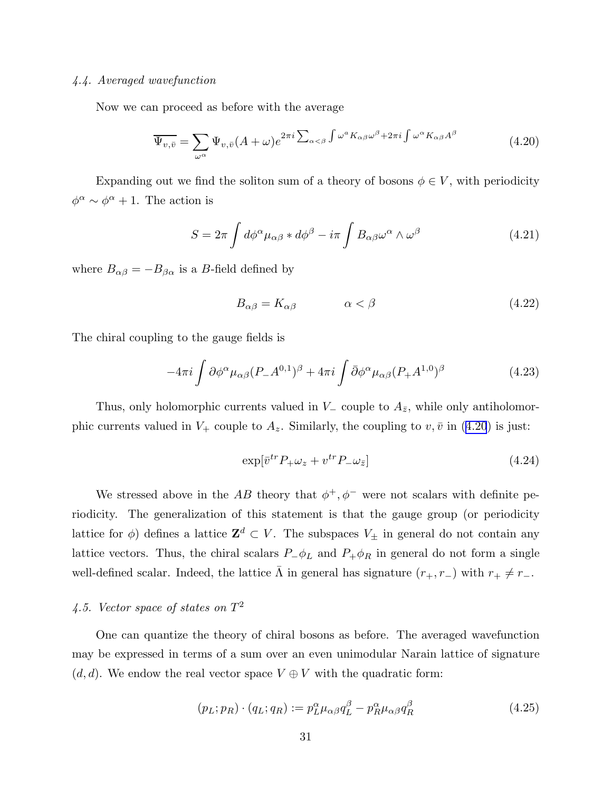# <span id="page-31-0"></span>*4.4. Averaged wavefunction*

Now we can proceed as before with the average

$$
\overline{\Psi_{v,\bar{v}}} = \sum_{\omega^{\alpha}} \Psi_{v,\bar{v}} (A + \omega) e^{2\pi i \sum_{\alpha < \beta} \int \omega^a K_{\alpha\beta} \omega^{\beta} + 2\pi i \int \omega^{\alpha} K_{\alpha\beta} A^{\beta}} \tag{4.20}
$$

Expanding out we find the soliton sum of a theory of bosons  $\phi \in V$ , with periodicity  $\phi^{\alpha} \sim \phi^{\alpha} + 1$ . The action is

$$
S = 2\pi \int d\phi^{\alpha} \mu_{\alpha\beta} * d\phi^{\beta} - i\pi \int B_{\alpha\beta} \omega^{\alpha} \wedge \omega^{\beta}
$$
 (4.21)

where  $B_{\alpha\beta} = -B_{\beta\alpha}$  is a B-field defined by

$$
B_{\alpha\beta} = K_{\alpha\beta} \qquad \alpha < \beta \tag{4.22}
$$

The chiral coupling to the gauge fields is

$$
-4\pi i \int \partial \phi^{\alpha} \mu_{\alpha\beta} (P_- A^{0,1})^{\beta} + 4\pi i \int \bar{\partial} \phi^{\alpha} \mu_{\alpha\beta} (P_+ A^{1,0})^{\beta}
$$
(4.23)

Thus, only holomorphic currents valued in  $V_-\$  couple to  $A_{\bar{z}}$ , while only antiholomorphic currents valued in  $V_+$  couple to  $A_z$ . Similarly, the coupling to  $v, \bar{v}$  in (4.20) is just:

$$
\exp[\bar{v}^{tr}P_{+}\omega_{z}+v^{tr}P_{-}\omega_{\bar{z}}] \tag{4.24}
$$

We stressed above in the AB theory that  $\phi^+, \phi^-$  were not scalars with definite periodicity. The generalization of this statement is that the gauge group (or periodicity lattice for  $\phi$ ) defines a lattice  $\mathbf{Z}^d \subset V$ . The subspaces  $V_{\pm}$  in general do not contain any lattice vectors. Thus, the chiral scalars  $P_-\phi_L$  and  $P_+\phi_R$  in general do not form a single well-defined scalar. Indeed, the lattice  $\bar{\Lambda}$  in general has signature  $(r_+, r_-)$  with  $r_+ \neq r_-$ .

# *4.5. Vector space of states on* T 2

One can quantize the theory of chiral bosons as before. The averaged wavefunction may be expressed in terms of a sum over an even unimodular Narain lattice of signature  $(d, d)$ . We endow the real vector space  $V \oplus V$  with the quadratic form:

$$
(p_L; p_R) \cdot (q_L; q_R) := p_L^{\alpha} \mu_{\alpha\beta} q_L^{\beta} - p_R^{\alpha} \mu_{\alpha\beta} q_R^{\beta}
$$
\n
$$
(4.25)
$$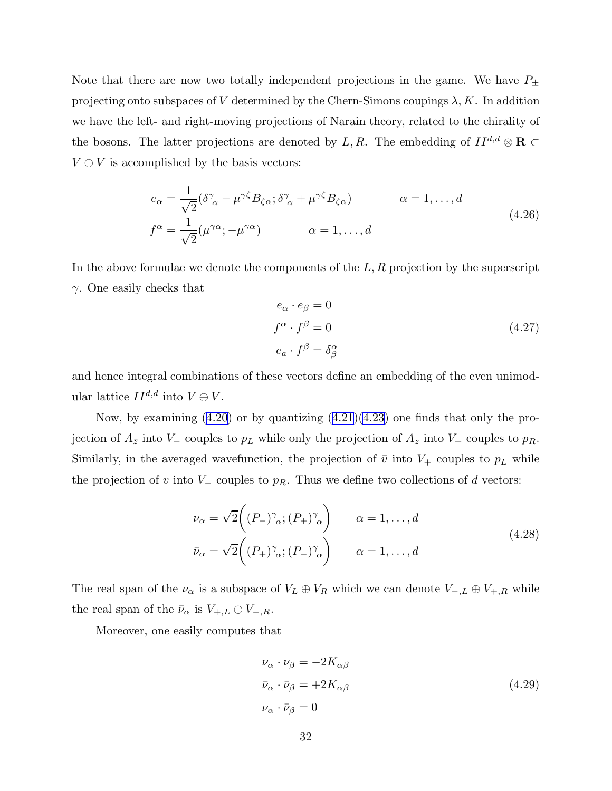Note that there are now two totally independent projections in the game. We have  $P_{\pm}$ projecting onto subspaces of V determined by the Chern-Simons coupings  $\lambda, K$ . In addition we have the left- and right-moving projections of Narain theory, related to the chirality of the bosons. The latter projections are denoted by L, R. The embedding of  $II^{d,d} \otimes \mathbf{R} \subset$  $V \oplus V$  is accomplished by the basis vectors:

$$
e_{\alpha} = \frac{1}{\sqrt{2}} (\delta^{\gamma}_{\alpha} - \mu^{\gamma \zeta} B_{\zeta \alpha}; \delta^{\gamma}_{\alpha} + \mu^{\gamma \zeta} B_{\zeta \alpha}) \qquad \alpha = 1, ..., d
$$
  
\n
$$
f^{\alpha} = \frac{1}{\sqrt{2}} (\mu^{\gamma \alpha}; -\mu^{\gamma \alpha}) \qquad \alpha = 1, ..., d
$$
\n(4.26)

In the above formulae we denote the components of the  $L, R$  projection by the superscript  $\gamma$ . One easily checks that

$$
e_{\alpha} \cdot e_{\beta} = 0
$$
  
\n
$$
f^{\alpha} \cdot f^{\beta} = 0
$$
  
\n
$$
e_{a} \cdot f^{\beta} = \delta^{\alpha}_{\beta}
$$
\n(4.27)

and hence integral combinations of these vectors define an embedding of the even unimodular lattice  $II^{d,d}$  into  $V \oplus V$ .

Now,by examining  $(4.20)$  $(4.20)$  or by quantizing  $(4.21)(4.23)$  $(4.21)(4.23)$  one finds that only the projection of  $A_{\bar{z}}$  into  $V_{-}$  couples to  $p<sub>L</sub>$  while only the projection of  $A_{z}$  into  $V_{+}$  couples to  $p<sub>R</sub>$ . Similarly, in the averaged wavefunction, the projection of  $\bar{v}$  into  $V_+$  couples to  $p<sub>L</sub>$  while the projection of v into  $V_-\$ couples to  $p_R$ . Thus we define two collections of d vectors:

$$
\nu_{\alpha} = \sqrt{2} \left( (P_{-})^{\gamma}_{\alpha}; (P_{+})^{\gamma}_{\alpha} \right) \qquad \alpha = 1, ..., d
$$
\n
$$
\bar{\nu}_{\alpha} = \sqrt{2} \left( (P_{+})^{\gamma}_{\alpha}; (P_{-})^{\gamma}_{\alpha} \right) \qquad \alpha = 1, ..., d
$$
\n(4.28)

The real span of the  $\nu_{\alpha}$  is a subspace of  $V_L \oplus V_R$  which we can denote  $V_{-,L} \oplus V_{+,R}$  while the real span of the  $\bar{\nu}_{\alpha}$  is  $V_{+,L} \oplus V_{-,R}$ .

Moreover, one easily computes that

$$
\nu_{\alpha} \cdot \nu_{\beta} = -2K_{\alpha\beta}
$$
  
\n
$$
\bar{\nu}_{\alpha} \cdot \bar{\nu}_{\beta} = +2K_{\alpha\beta}
$$
  
\n
$$
\nu_{\alpha} \cdot \bar{\nu}_{\beta} = 0
$$
\n(4.29)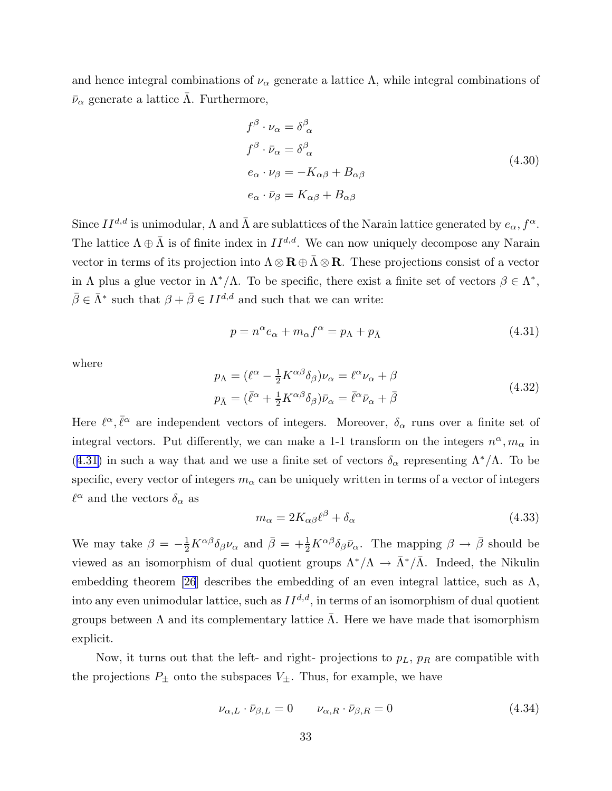and hence integral combinations of  $\nu_{\alpha}$  generate a lattice  $\Lambda$ , while integral combinations of  $\bar{\nu}_{\alpha}$  generate a lattice Λ. Furthermore,

$$
f^{\beta} \cdot \nu_{\alpha} = \delta^{\beta}_{\alpha}
$$
  
\n
$$
f^{\beta} \cdot \bar{\nu}_{\alpha} = \delta^{\beta}_{\alpha}
$$
  
\n
$$
e_{\alpha} \cdot \nu_{\beta} = -K_{\alpha\beta} + B_{\alpha\beta}
$$
  
\n
$$
e_{\alpha} \cdot \bar{\nu}_{\beta} = K_{\alpha\beta} + B_{\alpha\beta}
$$
  
\n(4.30)

Since  $II^{d,d}$  is unimodular,  $\Lambda$  and  $\bar{\Lambda}$  are sublattices of the Narain lattice generated by  $e_{\alpha}, f^{\alpha}$ . The lattice  $\Lambda \oplus \bar{\Lambda}$  is of finite index in  $II^{d,d}$ . We can now uniquely decompose any Narain vector in terms of its projection into  $\Lambda \otimes \mathbf{R} \oplus \bar{\Lambda} \otimes \mathbf{R}$ . These projections consist of a vector in  $\Lambda$  plus a glue vector in  $\Lambda^*/\Lambda$ . To be specific, there exist a finite set of vectors  $\beta \in \Lambda^*$ ,  $\bar{\beta} \in \bar{\Lambda}^*$  such that  $\beta + \bar{\beta} \in II^{d,d}$  and such that we can write:

$$
p = n^{\alpha} e_{\alpha} + m_{\alpha} f^{\alpha} = p_{\Lambda} + p_{\bar{\Lambda}} \tag{4.31}
$$

where

$$
p_{\Lambda} = (\ell^{\alpha} - \frac{1}{2} K^{\alpha \beta} \delta_{\beta}) \nu_{\alpha} = \ell^{\alpha} \nu_{\alpha} + \beta
$$
  
\n
$$
p_{\bar{\Lambda}} = (\bar{\ell}^{\alpha} + \frac{1}{2} K^{\alpha \beta} \delta_{\beta}) \bar{\nu}_{\alpha} = \bar{\ell}^{\alpha} \bar{\nu}_{\alpha} + \bar{\beta}
$$
\n(4.32)

Here  $\ell^{\alpha}, \bar{\ell}^{\alpha}$  are independent vectors of integers. Moreover,  $\delta_{\alpha}$  runs over a finite set of integral vectors. Put differently, we can make a 1-1 transform on the integers  $n^{\alpha}, m_{\alpha}$  in (4.31) in such a way that and we use a finite set of vectors  $\delta_{\alpha}$  representing  $\Lambda^*/\Lambda$ . To be specific, every vector of integers  $m_{\alpha}$  can be uniquely written in terms of a vector of integers  $\ell^\alpha$  and the vectors  $\delta_\alpha$  as

$$
m_{\alpha} = 2K_{\alpha\beta}\ell^{\beta} + \delta_{\alpha} \tag{4.33}
$$

We may take  $\beta = -\frac{1}{2}K^{\alpha\beta}\delta_{\beta}\nu_{\alpha}$  and  $\bar{\beta} = +\frac{1}{2}K^{\alpha\beta}\delta_{\beta}\bar{\nu}_{\alpha}$ . The mapping  $\beta \to \bar{\beta}$  should be viewed as an isomorphism of dual quotient groups  $\Lambda^*/\Lambda \to \bar{\Lambda}^*/\bar{\Lambda}$ . Indeed, the Nikulin embedding theorem [\[26](#page-41-0)] describes the embedding of an even integral lattice, such as  $\Lambda$ , into any even unimodular lattice, such as  $II^{d,d}$ , in terms of an isomorphism of dual quotient groups between Λ and its complementary lattice Λ. Here we have made that isomorphism ¯ explicit.

Now, it turns out that the left- and right- projections to  $p<sub>L</sub>$ ,  $p<sub>R</sub>$  are compatible with the projections  $P_{\pm}$  onto the subspaces  $V_{\pm}$ . Thus, for example, we have

$$
\nu_{\alpha,L} \cdot \bar{\nu}_{\beta,L} = 0 \qquad \nu_{\alpha,R} \cdot \bar{\nu}_{\beta,R} = 0 \tag{4.34}
$$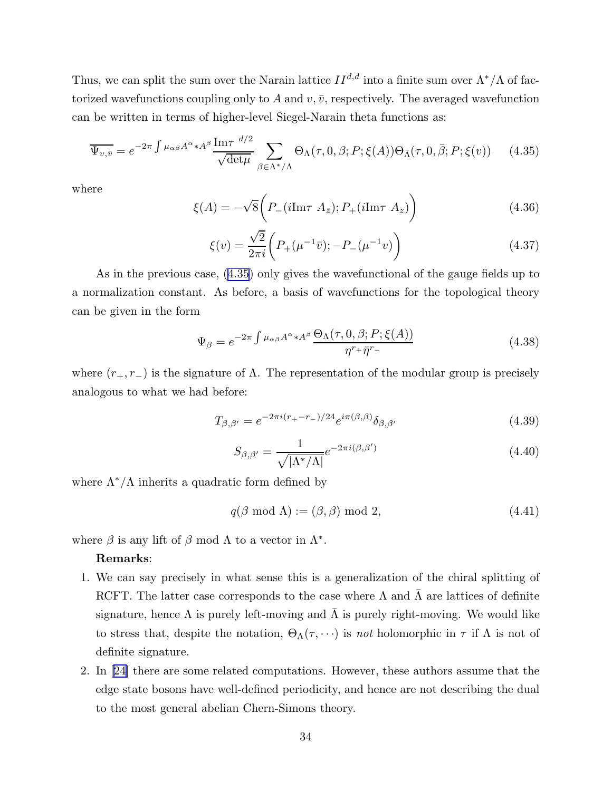Thus, we can split the sum over the Narain lattice  $II^{d,d}$  into a finite sum over  $\Lambda^*/\Lambda$  of factorized wavefunctions coupling only to A and  $v, \bar{v}$ , respectively. The averaged wavefunction can be written in terms of higher-level Siegel-Narain theta functions as:

$$
\overline{\Psi_{v,\bar{v}}}=e^{-2\pi\int\mu_{\alpha\beta}A^{\alpha}*A^{\beta}}\frac{\text{Im}\tau}{\sqrt{\det\mu}}\sum_{\beta\in\Lambda^*/\Lambda}\Theta_{\Lambda}(\tau,0,\beta;P;\xi(A))\Theta_{\bar{\Lambda}}(\tau,0,\bar{\beta};P;\xi(v))\qquad(4.35)
$$

where

$$
\xi(A) = -\sqrt{8} \left( P_-(i \text{Im}\tau \ A_{\bar{z}}); P_+(i \text{Im}\tau \ A_z) \right) \tag{4.36}
$$

$$
\xi(v) = \frac{\sqrt{2}}{2\pi i} \left( P_+(\mu^{-1}\bar{v}); -P_-(\mu^{-1}v) \right) \tag{4.37}
$$

As in the previous case, (4.35) only gives the wavefunctional of the gauge fields up to a normalization constant. As before, a basis of wavefunctions for the topological theory can be given in the form

$$
\Psi_{\beta} = e^{-2\pi \int \mu_{\alpha\beta} A^{\alpha} * A^{\beta}} \frac{\Theta_{\Lambda}(\tau, 0, \beta; P; \xi(A))}{\eta^{r+ \bar{\eta}^{r-}}} \tag{4.38}
$$

where  $(r_+, r_-)$  is the signature of  $\Lambda$ . The representation of the modular group is precisely analogous to what we had before:

$$
T_{\beta,\beta'} = e^{-2\pi i (r_+ - r_-)/24} e^{i\pi(\beta,\beta)} \delta_{\beta,\beta'} \tag{4.39}
$$

$$
S_{\beta,\beta'} = \frac{1}{\sqrt{|\Lambda^*/\Lambda|}} e^{-2\pi i(\beta,\beta')}
$$
\n(4.40)

where  $\Lambda^*/\Lambda$  inherits a quadratic form defined by

$$
q(\beta \bmod \Lambda) := (\beta, \beta) \bmod 2, \tag{4.41}
$$

where  $\beta$  is any lift of  $\beta$  mod  $\Lambda$  to a vector in  $\Lambda^*$ .

#### Remarks:

- 1. We can say precisely in what sense this is a generalization of the chiral splitting of RCFT. The latter case corresponds to the case where  $\Lambda$  and  $\Lambda$  are lattices of definite signature, hence  $\Lambda$  is purely left-moving and  $\overline{\Lambda}$  is purely right-moving. We would like to stress that, despite the notation,  $\Theta_{\Lambda}(\tau, \cdots)$  is *not* holomorphic in  $\tau$  if  $\Lambda$  is not of definite signature.
- 2. In[[24](#page-41-0)] there are some related computations. However, these authors assume that the edge state bosons have well-defined periodicity, and hence are not describing the dual to the most general abelian Chern-Simons theory.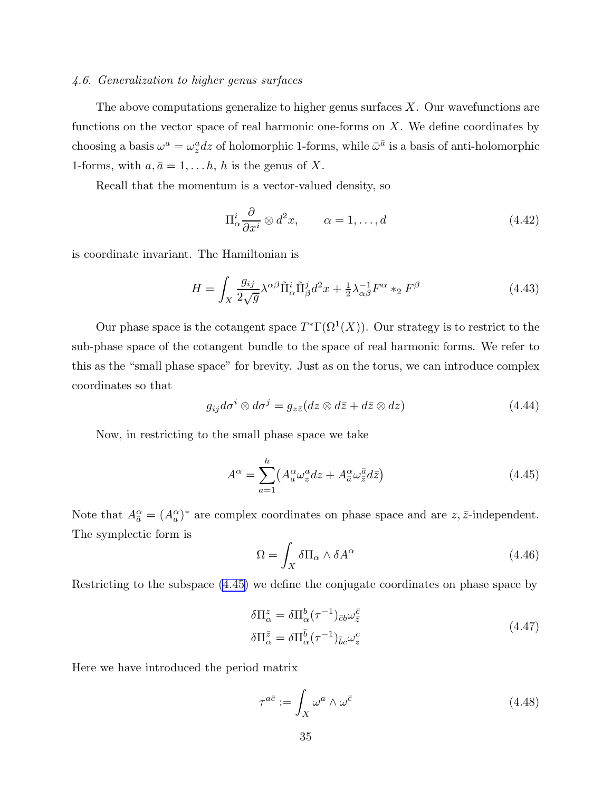### <span id="page-35-0"></span>*4.6. Generalization to higher genus surfaces*

The above computations generalize to higher genus surfaces  $X$ . Our wavefunctions are functions on the vector space of real harmonic one-forms on  $X$ . We define coordinates by choosing a basis  $\omega^a = \omega_z^a dz$  of holomorphic 1-forms, while  $\bar{\omega}^{\bar{a}}$  is a basis of anti-holomorphic 1-forms, with  $a, \bar{a} = 1, \ldots h$ , h is the genus of X.

Recall that the momentum is a vector-valued density, so

$$
\Pi^i_{\alpha} \frac{\partial}{\partial x^i} \otimes d^2 x, \qquad \alpha = 1, \dots, d \tag{4.42}
$$

is coordinate invariant. The Hamiltonian is

$$
H = \int_X \frac{g_{ij}}{2\sqrt{g}} \lambda^{\alpha\beta} \tilde{\Pi}_{\alpha}^i \tilde{\Pi}_{\beta}^j d^2 x + \frac{1}{2} \lambda_{\alpha\beta}^{-1} F^{\alpha} *_{2} F^{\beta}
$$
(4.43)

Our phase space is the cotangent space  $T^{\ast}\Gamma(\Omega^{1}(X))$ . Our strategy is to restrict to the sub-phase space of the cotangent bundle to the space of real harmonic forms. We refer to this as the "small phase space" for brevity. Just as on the torus, we can introduce complex coordinates so that

$$
g_{ij}d\sigma^i \otimes d\sigma^j = g_{z\bar{z}}(dz \otimes d\bar{z} + d\bar{z} \otimes dz)
$$
 (4.44)

Now, in restricting to the small phase space we take

$$
A^{\alpha} = \sum_{a=1}^{h} \left( A^{\alpha}_{a} \omega_{z}^{a} dz + A^{\alpha}_{\bar{a}} \omega_{\bar{z}}^{\bar{a}} d\bar{z} \right)
$$
(4.45)

Note that  $A_{\bar{a}}^{\alpha} = (A_{a}^{\alpha})^*$  are complex coordinates on phase space and are  $z, \bar{z}$ -independent. The symplectic form is

$$
\Omega = \int_X \delta \Pi_\alpha \wedge \delta A^\alpha \tag{4.46}
$$

Restricting to the subspace (4.45) we define the conjugate coordinates on phase space by

$$
\delta \Pi_{\alpha}^{z} = \delta \Pi_{\alpha}^{b} (\tau^{-1})_{\bar{c}b} \omega_{\bar{z}}^{\bar{c}}
$$
\n
$$
\delta \Pi_{\alpha}^{\bar{z}} = \delta \Pi_{\alpha}^{\bar{b}} (\tau^{-1})_{\bar{b}c} \omega_{z}^{c}
$$
\n(4.47)

Here we have introduced the period matrix

$$
\tau^{a\bar{c}} := \int_X \omega^a \wedge \omega^{\bar{c}} \tag{4.48}
$$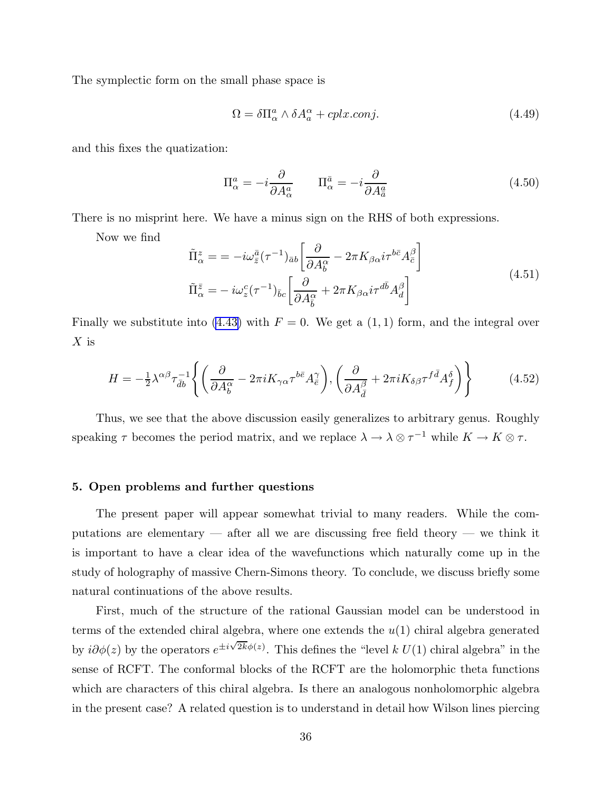<span id="page-36-0"></span>The symplectic form on the small phase space is

$$
\Omega = \delta \Pi_{\alpha}^{a} \wedge \delta A_{a}^{\alpha} + cplx.comj.
$$
\n(4.49)

and this fixes the quatization:

$$
\Pi^a_\alpha = -i \frac{\partial}{\partial A^a_\alpha} \qquad \Pi^{\bar{a}}_\alpha = -i \frac{\partial}{\partial A^{\bar{a}}_{\bar{a}}} \tag{4.50}
$$

There is no misprint here. We have a minus sign on the RHS of both expressions.

Now we find

$$
\tilde{\Pi}_{\alpha}^{z} = -i\omega_{\bar{z}}^{\bar{a}}(\tau^{-1})_{\bar{a}b} \left[ \frac{\partial}{\partial A_{b}^{\alpha}} - 2\pi K_{\beta\alpha} i\tau^{b\bar{c}} A_{\bar{c}}^{\beta} \right]
$$
\n
$$
\tilde{\Pi}_{\alpha}^{\bar{z}} = -i\omega_{z}^{c}(\tau^{-1})_{\bar{b}c} \left[ \frac{\partial}{\partial A_{\bar{b}}^{\alpha}} + 2\pi K_{\beta\alpha} i\tau^{d\bar{b}} A_{d}^{\beta} \right]
$$
\n(4.51)

Finally we substitute into [\(4.43\)](#page-35-0) with  $F = 0$ . We get a (1, 1) form, and the integral over  $X$  is

$$
H = -\frac{1}{2}\lambda^{\alpha\beta}\tau_{\bar{d}b}^{-1}\left\{ \left( \frac{\partial}{\partial A_b^{\alpha}} - 2\pi i K_{\gamma\alpha}\tau^{b\bar{e}}A_{\bar{e}}^{\gamma} \right), \left( \frac{\partial}{\partial A_{\bar{d}}^{\beta}} + 2\pi i K_{\delta\beta}\tau^{f\bar{d}}A_f^{\delta} \right) \right\}
$$
(4.52)

Thus, we see that the above discussion easily generalizes to arbitrary genus. Roughly speaking  $\tau$  becomes the period matrix, and we replace  $\lambda \to \lambda \otimes \tau^{-1}$  while  $K \to K \otimes \tau$ .

#### 5. Open problems and further questions

The present paper will appear somewhat trivial to many readers. While the computations are elementary — after all we are discussing free field theory — we think it is important to have a clear idea of the wavefunctions which naturally come up in the study of holography of massive Chern-Simons theory. To conclude, we discuss briefly some natural continuations of the above results.

First, much of the structure of the rational Gaussian model can be understood in terms of the extended chiral algebra, where one extends the  $u(1)$  chiral algebra generated by  $i\partial\phi(z)$  by the operators  $e^{\pm i\sqrt{2k}\phi(z)}$ . This defines the "level k  $U(1)$  chiral algebra" in the sense of RCFT. The conformal blocks of the RCFT are the holomorphic theta functions which are characters of this chiral algebra. Is there an analogous nonholomorphic algebra in the present case? A related question is to understand in detail how Wilson lines piercing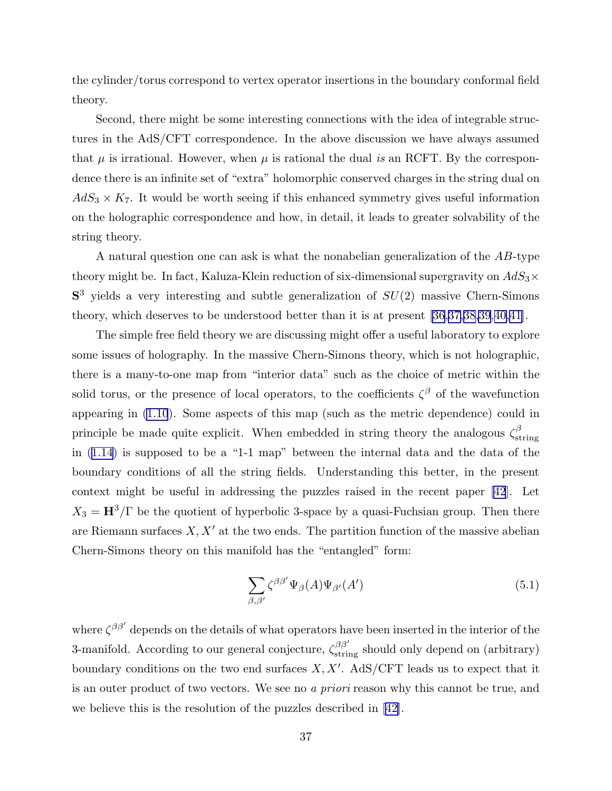the cylinder/torus correspond to vertex operator insertions in the boundary conformal field theory.

Second, there might be some interesting connections with the idea of integrable structures in the AdS/CFT correspondence. In the above discussion we have always assumed that  $\mu$  is irrational. However, when  $\mu$  is rational the dual *is* an RCFT. By the correspondence there is an infinite set of "extra" holomorphic conserved charges in the string dual on  $AdS_3 \times K_7$ . It would be worth seeing if this enhanced symmetry gives useful information on the holographic correspondence and how, in detail, it leads to greater solvability of the string theory.

A natural question one can ask is what the nonabelian generalization of the AB-type theory might be. In fact, Kaluza-Klein reduction of six-dimensional supergravity on  $AdS_3\times$  $S<sup>3</sup>$  yields a very interesting and subtle generalization of  $SU(2)$  massive Chern-Simons theory, which deserves to be understood better than it is at present [\[36](#page-41-0),[37,](#page-41-0)[38,39](#page-42-0),[40,41](#page-42-0)].

The simple free field theory we are discussing might offer a useful laboratory to explore some issues of holography. In the massive Chern-Simons theory, which is not holographic, there is a many-to-one map from "interior data" such as the choice of metric within the solid torus, or the presence of local operators, to the coefficients  $\zeta^{\beta}$  of the wavefunction appearing in [\(1.10](#page-4-0)). Some aspects of this map (such as the metric dependence) could in principle be made quite explicit. When embedded in string theory the analogous  $\zeta_{st}^{\beta}$ string in([1.14](#page-7-0)) is supposed to be a "1-1 map" between the internal data and the data of the boundary conditions of all the string fields. Understanding this better, in the present context might be useful in addressing the puzzles raised in the recent paper [\[42](#page-42-0)]. Let  $X_3 = H^3/\Gamma$  be the quotient of hyperbolic 3-space by a quasi-Fuchsian group. Then there are Riemann surfaces  $X, X'$  at the two ends. The partition function of the massive abelian Chern-Simons theory on this manifold has the "entangled" form:

$$
\sum_{\beta,\beta'} \zeta^{\beta\beta'} \Psi_{\beta}(A) \Psi_{\beta'}(A') \tag{5.1}
$$

where  $\zeta^{\beta\beta'}$  depends on the details of what operators have been inserted in the interior of the 3-manifold. According to our general conjecture,  $\zeta_{\text{string}}^{\beta\beta'}$  should only depend on (arbitrary) boundary conditions on the two end surfaces  $X, X'$ . AdS/CFT leads us to expect that it is an outer product of two vectors. We see no *a priori* reason why this cannot be true, and we believe this is the resolution of the puzzles described in [[42\]](#page-42-0).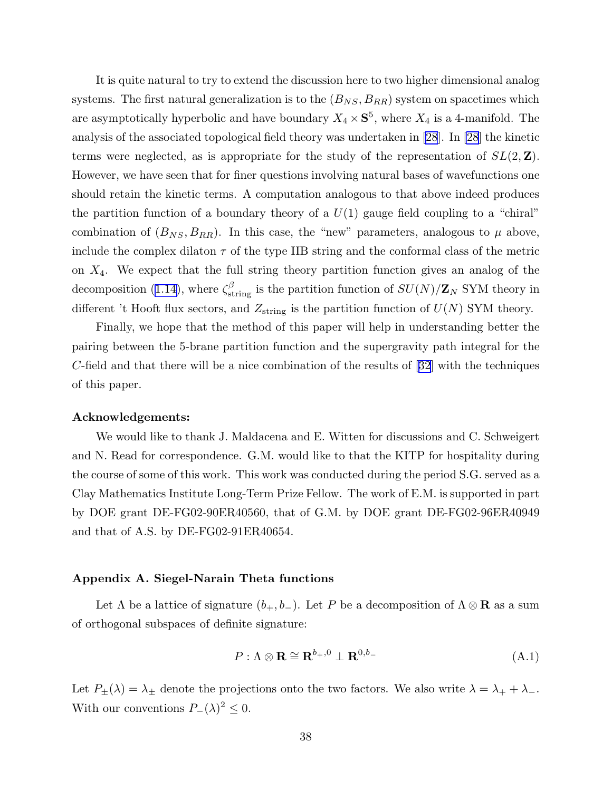<span id="page-38-0"></span>It is quite natural to try to extend the discussion here to two higher dimensional analog systems. The first natural generalization is to the  $(B_{NS}, B_{RR})$  system on spacetimes which are asymptotically hyperbolic and have boundary  $X_4 \times \mathbf{S}^5$ , where  $X_4$  is a 4-manifold. The analysis of the associated topological field theory was undertaken in [\[28](#page-41-0)]. In [\[28](#page-41-0)] the kinetic terms were neglected, as is appropriate for the study of the representation of  $SL(2, \mathbb{Z})$ . However, we have seen that for finer questions involving natural bases of wavefunctions one should retain the kinetic terms. A computation analogous to that above indeed produces the partition function of a boundary theory of a  $U(1)$  gauge field coupling to a "chiral" combination of  $(B_{NS}, B_{RR})$ . In this case, the "new" parameters, analogous to  $\mu$  above, include the complex dilaton  $\tau$  of the type IIB string and the conformal class of the metric on  $X_4$ . We expect that the full string theory partition function gives an analog of the decomposition [\(1.14\)](#page-7-0), where  $\zeta_{\text{string}}^{\beta}$  is the partition function of  $SU(N)/\mathbf{Z}_N$  SYM theory in different 't Hooft flux sectors, and  $Z_{\text{string}}$  is the partition function of  $U(N)$  SYM theory.

Finally, we hope that the method of this paper will help in understanding better the pairing between the 5-brane partition function and the supergravity path integral for the C-field and that there will be a nice combination of the results of [\[32](#page-41-0)] with the techniques of this paper.

#### Acknowledgements:

We would like to thank J. Maldacena and E. Witten for discussions and C. Schweigert and N. Read for correspondence. G.M. would like to that the KITP for hospitality during the course of some of this work. This work was conducted during the period S.G. served as a Clay Mathematics Institute Long-Term Prize Fellow. The work of E.M. is supported in part by DOE grant DE-FG02-90ER40560, that of G.M. by DOE grant DE-FG02-96ER40949 and that of A.S. by DE-FG02-91ER40654.

#### Appendix A. Siegel-Narain Theta functions

Let  $\Lambda$  be a lattice of signature  $(b_+, b_-)$ . Let P be a decomposition of  $\Lambda \otimes \mathbf{R}$  as a sum of orthogonal subspaces of definite signature:

$$
P: \Lambda \otimes \mathbf{R} \cong \mathbf{R}^{b_+,0} \perp \mathbf{R}^{0,b_-}
$$
 (A.1)

Let  $P_{\pm}(\lambda) = \lambda_{\pm}$  denote the projections onto the two factors. We also write  $\lambda = \lambda_{+} + \lambda_{-}$ . With our conventions  $P_-(\lambda)^2 \leq 0$ .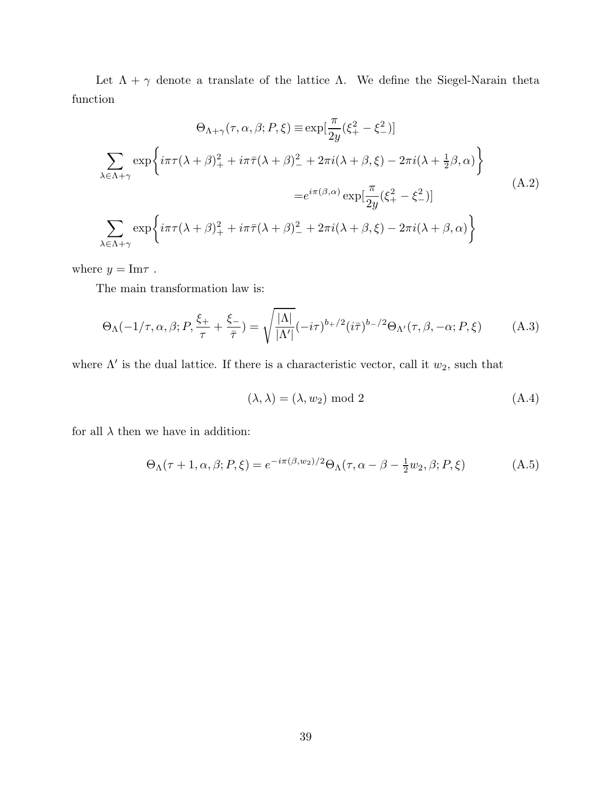Let  $\Lambda + \gamma$  denote a translate of the lattice  $\Lambda$ . We define the Siegel-Narain theta function

$$
\Theta_{\Lambda+\gamma}(\tau,\alpha,\beta;P,\xi) \equiv \exp[\frac{\pi}{2y}(\xi_{+}^{2}-\xi_{-}^{2})]
$$

$$
\sum_{\lambda \in \Lambda+\gamma} \exp\left\{i\pi\tau(\lambda+\beta)_{+}^{2}+i\pi\bar{\tau}(\lambda+\beta)_{-}^{2}+2\pi i(\lambda+\beta,\xi)-2\pi i(\lambda+\frac{1}{2}\beta,\alpha)\right\}
$$

$$
=e^{i\pi(\beta,\alpha)}\exp[\frac{\pi}{2y}(\xi_{+}^{2}-\xi_{-}^{2})]
$$
(A.2)
$$
\sum_{\lambda \in \Lambda+\gamma} \exp\left\{i\pi\tau(\lambda+\beta)_{+}^{2}+i\pi\bar{\tau}(\lambda+\beta)_{-}^{2}+2\pi i(\lambda+\beta,\xi)-2\pi i(\lambda+\beta,\alpha)\right\}
$$

where  $y = \text{Im}\tau$ .

The main transformation law is:

$$
\Theta_{\Lambda}(-1/\tau,\alpha,\beta;P,\frac{\xi_{+}}{\tau}+\frac{\xi_{-}}{\bar{\tau}})=\sqrt{\frac{|\Lambda|}{|\Lambda'|}}(-i\tau)^{b_{+}/2}(i\bar{\tau})^{b_{-}/2}\Theta_{\Lambda'}(\tau,\beta,-\alpha;P,\xi)
$$
 (A.3)

where  $\Lambda'$  is the dual lattice. If there is a characteristic vector, call it  $w_2$ , such that

$$
(\lambda, \lambda) = (\lambda, w_2) \text{ mod } 2
$$
\n
$$
(A.4)
$$

for all  $\lambda$  then we have in addition:

$$
\Theta_{\Lambda}(\tau+1,\alpha,\beta;P,\xi) = e^{-i\pi(\beta,w_2)/2} \Theta_{\Lambda}(\tau,\alpha-\beta-\frac{1}{2}w_2,\beta;P,\xi) \tag{A.5}
$$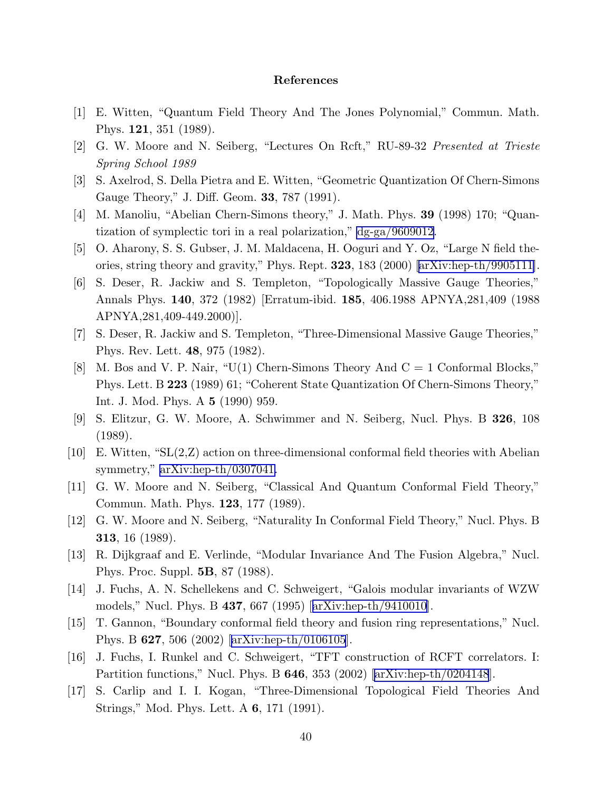#### References

- <span id="page-40-0"></span>[1] E. Witten, "Quantum Field Theory And The Jones Polynomial," Commun. Math. Phys. 121, 351 (1989).
- [2] G. W. Moore and N. Seiberg, "Lectures On Rcft," RU-89-32 *Presented at Trieste Spring School 1989*
- [3] S. Axelrod, S. Della Pietra and E. Witten, "Geometric Quantization Of Chern-Simons Gauge Theory," J. Diff. Geom. 33, 787 (1991).
- [4] M. Manoliu, "Abelian Chern-Simons theory," J. Math. Phys. 39 (1998) 170; "Quantization of symplectic tori in a real polarization," [dg-ga/9609012](http://arXiv.org/abs/dg-ga/9609012).
- [5] O. Aharony, S. S. Gubser, J. M. Maldacena, H. Ooguri and Y. Oz, "Large N field theories, string theory and gravity," Phys. Rept. 323, 183 (2000) [\[arXiv:hep-th/9905111\]](http://arXiv.org/abs/hep-th/9905111).
- [6] S. Deser, R. Jackiw and S. Templeton, "Topologically Massive Gauge Theories," Annals Phys. 140, 372 (1982) [Erratum-ibid. 185, 406.1988 APNYA,281,409 (1988 APNYA,281,409-449.2000)].
- [7] S. Deser, R. Jackiw and S. Templeton, "Three-Dimensional Massive Gauge Theories," Phys. Rev. Lett. 48, 975 (1982).
- [8] M. Bos and V. P. Nair, " $U(1)$  Chern-Simons Theory And  $C = 1$  Conformal Blocks," Phys. Lett. B 223 (1989) 61; "Coherent State Quantization Of Chern-Simons Theory," Int. J. Mod. Phys. A 5 (1990) 959.
- [9] S. Elitzur, G. W. Moore, A. Schwimmer and N. Seiberg, Nucl. Phys. B 326, 108 (1989).
- [10] E. Witten, "SL(2,Z) action on three-dimensional conformal field theories with Abelian symmetry," [arXiv:hep-th/0307041.](http://arXiv.org/abs/hep-th/0307041)
- [11] G. W. Moore and N. Seiberg, "Classical And Quantum Conformal Field Theory," Commun. Math. Phys. 123, 177 (1989).
- [12] G. W. Moore and N. Seiberg, "Naturality In Conformal Field Theory," Nucl. Phys. B 313, 16 (1989).
- [13] R. Dijkgraaf and E. Verlinde, "Modular Invariance And The Fusion Algebra," Nucl. Phys. Proc. Suppl. 5B, 87 (1988).
- [14] J. Fuchs, A. N. Schellekens and C. Schweigert, "Galois modular invariants of WZW models," Nucl. Phys. B 437, 667 (1995)[[arXiv:hep-th/9410010](http://arXiv.org/abs/hep-th/9410010)].
- [15] T. Gannon, "Boundary conformal field theory and fusion ring representations," Nucl. Phys. B 627, 506 (2002)[[arXiv:hep-th/0106105](http://arXiv.org/abs/hep-th/0106105)].
- [16] J. Fuchs, I. Runkel and C. Schweigert, "TFT construction of RCFT correlators. I: Partitionfunctions," Nucl. Phys. B  $646$ ,  $353$  (2002) [[arXiv:hep-th/0204148](http://arXiv.org/abs/hep-th/0204148)].
- [17] S. Carlip and I. I. Kogan, "Three-Dimensional Topological Field Theories And Strings," Mod. Phys. Lett. A 6, 171 (1991).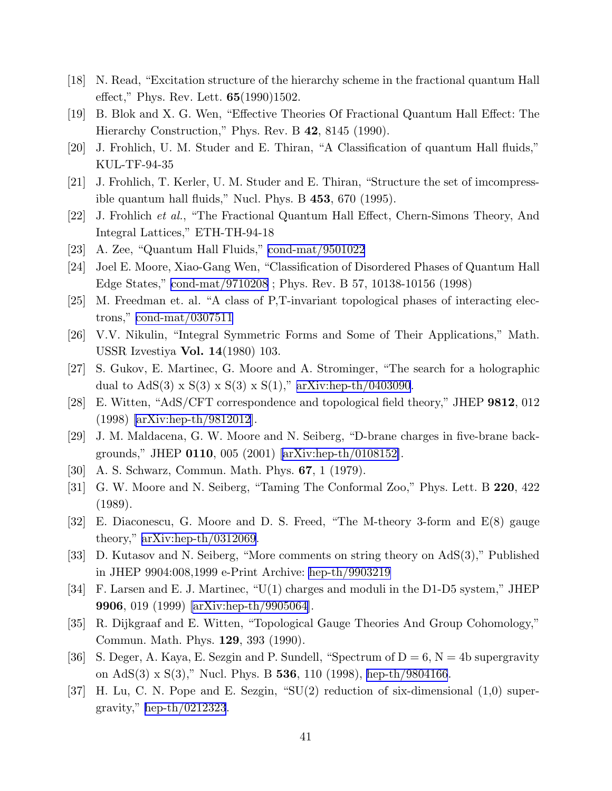- <span id="page-41-0"></span>[18] N. Read, "Excitation structure of the hierarchy scheme in the fractional quantum Hall effect," Phys. Rev. Lett. 65(1990)1502.
- [19] B. Blok and X. G. Wen, "Effective Theories Of Fractional Quantum Hall Effect: The Hierarchy Construction," Phys. Rev. B 42, 8145 (1990).
- [20] J. Frohlich, U. M. Studer and E. Thiran, "A Classification of quantum Hall fluids," KUL-TF-94-35
- [21] J. Frohlich, T. Kerler, U. M. Studer and E. Thiran, "Structure the set of imcompressible quantum hall fluids," Nucl. Phys. B  $453$ ,  $670$  (1995).
- [22] J. Frohlich *et al.*, "The Fractional Quantum Hall Effect, Chern-Simons Theory, And Integral Lattices," ETH-TH-94-18
- [23] A. Zee, "Quantum Hall Fluids," [cond-mat/9501022](http://arXiv.org/abs/cond-mat/9501022)
- [24] Joel E. Moore, Xiao-Gang Wen, "Classification of Disordered Phases of Quantum Hall Edge States," [cond-mat/9710208](http://arXiv.org/abs/cond-mat/9710208) ; Phys. Rev. B 57, 10138-10156 (1998)
- [25] M. Freedman et. al. "A class of P,T-invariant topological phases of interacting electrons," [cond-mat/0307511](http://arXiv.org/abs/cond-mat/0307511)
- [26] V.V. Nikulin, "Integral Symmetric Forms and Some of Their Applications," Math. USSR Izvestiya Vol. 14(1980) 103.
- [27] S. Gukov, E. Martinec, G. Moore and A. Strominger, "The search for a holographic dual to  $AdS(3) \times S(3) \times S(3) \times S(1)$ ," [arXiv:hep-th/0403090](http://arXiv.org/abs/hep-th/0403090).
- [28] E. Witten, "AdS/CFT correspondence and topological field theory," JHEP 9812, 012 (1998) [\[arXiv:hep-th/9812012\]](http://arXiv.org/abs/hep-th/9812012).
- [29] J. M. Maldacena, G. W. Moore and N. Seiberg, "D-brane charges in five-brane backgrounds," JHEP 0110, 005 (2001) [\[arXiv:hep-th/0108152\]](http://arXiv.org/abs/hep-th/0108152).
- [30] A. S. Schwarz, Commun. Math. Phys. 67, 1 (1979).
- [31] G. W. Moore and N. Seiberg, "Taming The Conformal Zoo," Phys. Lett. B 220, 422 (1989).
- [32] E. Diaconescu, G. Moore and D. S. Freed, "The M-theory 3-form and E(8) gauge theory," [arXiv:hep-th/0312069](http://arXiv.org/abs/hep-th/0312069).
- [33] D. Kutasov and N. Seiberg, "More comments on string theory on AdS(3)," Published in JHEP 9904:008,1999 e-Print Archive: [hep-th/9903219](http://arXiv.org/abs/hep-th/9903219)
- [34] F. Larsen and E. J. Martinec, "U(1) charges and moduli in the D1-D5 system," JHEP 9906, 019 (1999) [\[arXiv:hep-th/9905064\]](http://arXiv.org/abs/hep-th/9905064).
- [35] R. Dijkgraaf and E. Witten, "Topological Gauge Theories And Group Cohomology," Commun. Math. Phys. 129, 393 (1990).
- [36] S. Deger, A. Kaya, E. Sezgin and P. Sundell, "Spectrum of  $D = 6$ ,  $N = 4b$  supergravity on AdS(3) x S(3)," Nucl. Phys. B 536, 110 (1998), [hep-th/9804166](http://arXiv.org/abs/hep-th/9804166).
- [37] H. Lu, C. N. Pope and E. Sezgin, "SU(2) reduction of six-dimensional (1,0) supergravity," [hep-th/0212323](http://arXiv.org/abs/hep-th/0212323).